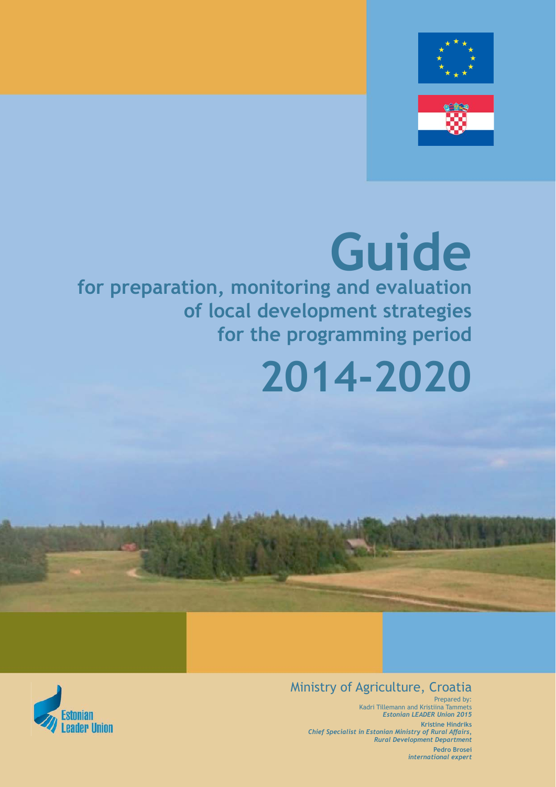



# **Guide for preparation, monitoring and evaluation of local development strategies for the programming period**

# **2014-2020**



# Ministry of Agriculture, Croatia

Prepared by: Kadri Tillemann and Kristiina Tammets *Estonian LEADER Union 2015* **Kristine Hindriks**  *Chief Specialist in Estonian Ministry of Rural Aff airs, Rural Development Department* **Pedro Brosei** *international expert*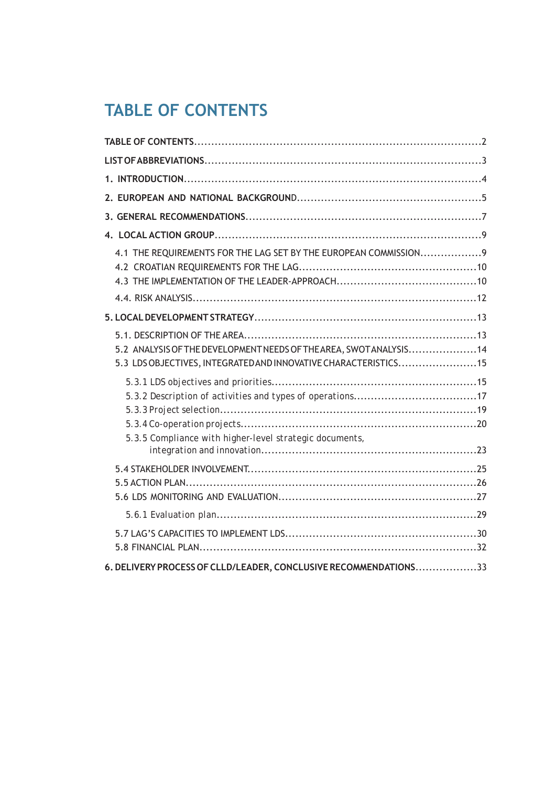# **TABLE OF CONTENTS**

| 4.1 THE REQUIREMENTS FOR THE LAG SET BY THE EUROPEAN COMMISSION9                                                                     |  |
|--------------------------------------------------------------------------------------------------------------------------------------|--|
|                                                                                                                                      |  |
|                                                                                                                                      |  |
| 5.2 ANALYSIS OF THE DEVELOPMENT NEEDS OF THE AREA, SWOT ANALYSIS14<br>5.3 LDSOBJECTIVES, INTEGRATED AND INNOVATIVE CHARACTERISTICS15 |  |
| 5.3.2 Description of activities and types of operations17                                                                            |  |
| 5.3.5 Compliance with higher-level strategic documents,                                                                              |  |
|                                                                                                                                      |  |
|                                                                                                                                      |  |
|                                                                                                                                      |  |
| 6. DELIVERY PROCESS OF CLLD/LEADER, CONCLUSIVE RECOMMENDATIONS33                                                                     |  |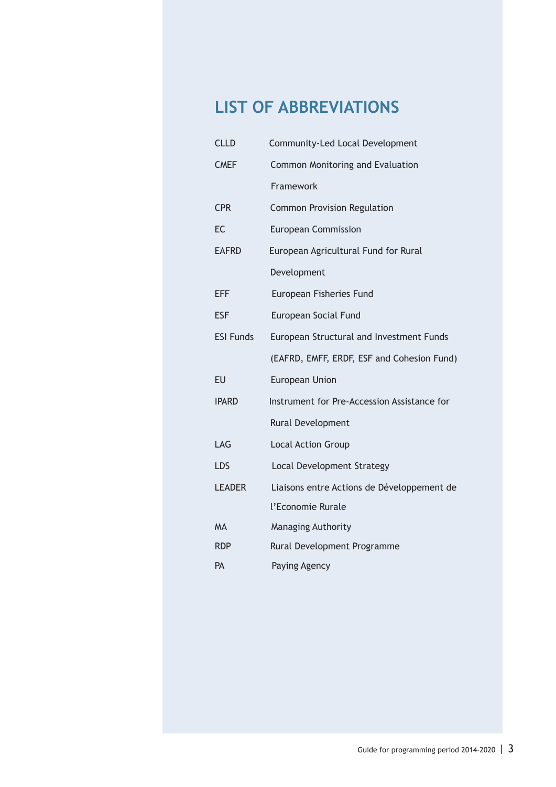# **LIST OF ABBREVIATIONS**

| <b>CLLD</b>      | Community-Led Local Development             |
|------------------|---------------------------------------------|
| <b>CMEF</b>      | Common Monitoring and Evaluation            |
|                  | Framework                                   |
| <b>CPR</b>       | <b>Common Provision Regulation</b>          |
| <b>EC</b>        | <b>European Commission</b>                  |
| <b>EAFRD</b>     | European Agricultural Fund for Rural        |
|                  | Development                                 |
| <b>EFF</b>       | European Fisheries Fund                     |
| <b>ESF</b>       | European Social Fund                        |
| <b>ESI Funds</b> | European Structural and Investment Funds    |
|                  | (EAFRD, EMFF, ERDF, ESF and Cohesion Fund)  |
| <b>EU</b>        | <b>European Union</b>                       |
| <b>IPARD</b>     | Instrument for Pre-Accession Assistance for |
|                  | Rural Development                           |
| LAG              | <b>Local Action Group</b>                   |
| LDS              | <b>Local Development Strategy</b>           |
| <b>LEADER</b>    | Liaisons entre Actions de Développement de  |
|                  | l'Economie Rurale                           |
| MА               | Managing Authority                          |
| <b>RDP</b>       | Rural Development Programme                 |
| PА               | Paying Agency                               |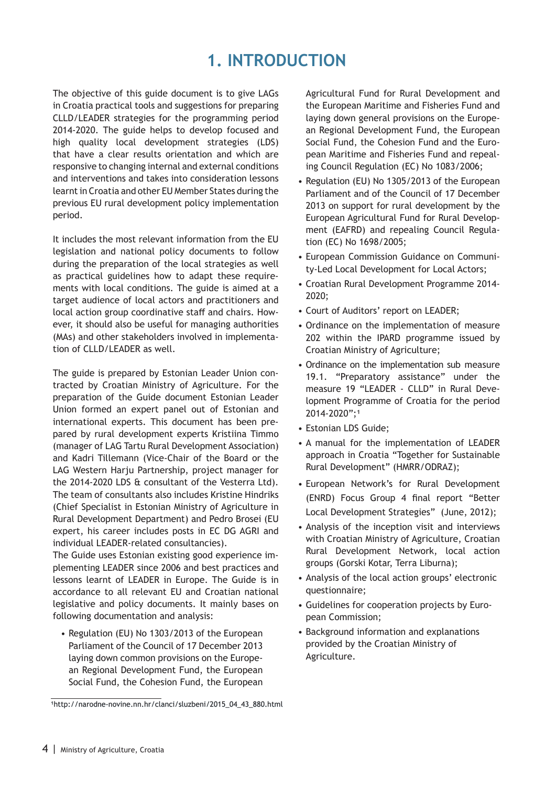# **1. INTRODUCTION**

The objective of this guide document is to give LAGs in Croatia practical tools and suggestions for preparing CLLD/LEADER strategies for the programming period 2014-2020. The guide helps to develop focused and high quality local development strategies (LDS) that have a clear results orientation and which are responsive to changing internal and external conditions and interventions and takes into consideration lessons learnt in Croatia and other EU Member States during the previous EU rural development policy implementation period.

It includes the most relevant information from the EU legislation and national policy documents to follow during the preparation of the local strategies as well as practical guidelines how to adapt these requirements with local conditions. The guide is aimed at a target audience of local actors and practitioners and local action group coordinative staff and chairs. However, it should also be useful for managing authorities (MAs) and other stakeholders involved in implementation of CLLD/LEADER as well.

The guide is prepared by Estonian Leader Union contracted by Croatian Ministry of Agriculture. For the preparation of the Guide document Estonian Leader Union formed an expert panel out of Estonian and international experts. This document has been prepared by rural development experts Kristiina Timmo (manager of LAG Tartu Rural Development Association) and Kadri Tillemann (Vice-Chair of the Board or the LAG Western Harju Partnership, project manager for the 2014-2020 LDS & consultant of the Vesterra Ltd). The team of consultants also includes Kristine Hindriks (Chief Specialist in Estonian Ministry of Agriculture in Rural Development Department) and Pedro Brosei (EU expert, his career includes posts in EC DG AGRI and individual LEADER-related consultancies).

The Guide uses Estonian existing good experience implementing LEADER since 2006 and best practices and lessons learnt of LEADER in Europe. The Guide is in accordance to all relevant EU and Croatian national legislative and policy documents. It mainly bases on following documentation and analysis:

• Regulation (EU) No 1303/2013 of the European Parliament of the Council of 17 December 2013 laying down common provisions on the European Regional Development Fund, the European Social Fund, the Cohesion Fund, the European

Agricultural Fund for Rural Development and the European Maritime and Fisheries Fund and laying down general provisions on the European Regional Development Fund, the European Social Fund, the Cohesion Fund and the European Maritime and Fisheries Fund and repealing Council Regulation (EC) No 1083/2006;

- Regulation (EU) No 1305/2013 of the European Parliament and of the Council of 17 December 2013 on support for rural development by the European Agricultural Fund for Rural Development (EAFRD) and repealing Council Regulation (EC) No 1698/2005;
- European Commission Guidance on Community-Led Local Development for Local Actors;
- Croatian Rural Development Programme 2014- 2020;
- Court of Auditors' report on LEADER;
- Ordinance on the implementation of measure 202 within the IPARD programme issued by Croatian Ministry of Agriculture;
- Ordinance on the implementation sub measure 19.1. "Preparatory assistance" under the measure 19 "LEADER - CLLD" in Rural Development Programme of Croatia for the period 2014-2020";1
- Estonian LDS Guide;
- A manual for the implementation of LEADER approach in Croatia "Together for Sustainable Rural Development" (HMRR/ODRAZ);
- European Network's for Rural Development (ENRD) Focus Group 4 final report "Better Local Development Strategies" (June, 2012);
- Analysis of the inception visit and interviews with Croatian Ministry of Agriculture, Croatian Rural Development Network, local action groups (Gorski Kotar, Terra Liburna);
- Analysis of the local action groups' electronic questionnaire;
- Guidelines for cooperation projects by European Commission;
- Background information and explanations provided by the Croatian Ministry of Agriculture.

<sup>1</sup>http://narodne-novine.nn.hr/clanci/sluzbeni/2015\_04\_43\_880.html ttp://narodne-novine.nn.hr/clanci/sluzbeni/2015\_04\_43\_880.html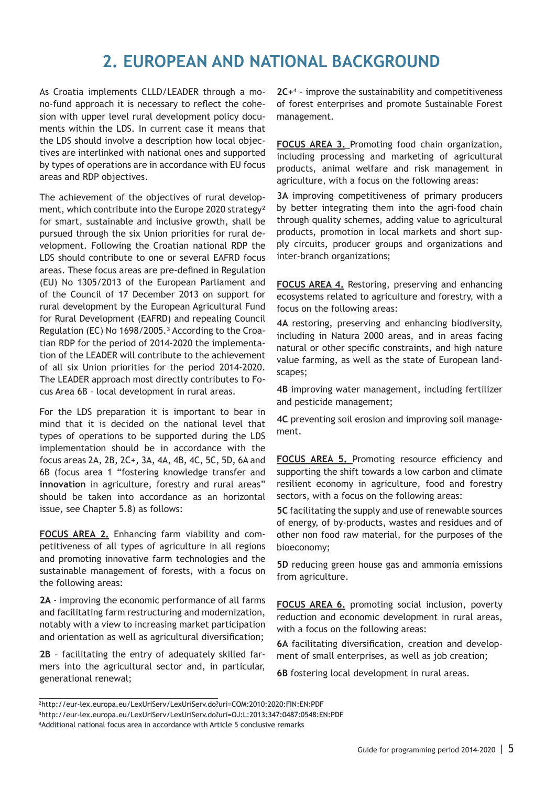# **2. EUROPEAN AND NATIONAL BACKGROUND**

As Croatia implements CLLD/LEADER through a mono-fund approach it is necessary to reflect the cohesion with upper level rural development policy documents within the LDS. In current case it means that the LDS should involve a description how local objectives are interlinked with national ones and supported by types of operations are in accordance with EU focus areas and RDP objectives.

The achievement of the objectives of rural development, which contribute into the Europe 2020 strategy<sup>2</sup> for smart, sustainable and inclusive growth, shall be pursued through the six Union priorities for rural development. Following the Croatian national RDP the LDS should contribute to one or several EAFRD focus areas. These focus areas are pre-defined in Regulation (EU) No 1305/2013 of the European Parliament and of the Council of 17 December 2013 on support for rural development by the European Agricultural Fund for Rural Development (EAFRD) and repealing Council Regulation (EC) No 1698/2005.3 According to the Croatian RDP for the period of 2014-2020 the implementation of the LEADER will contribute to the achievement of all six Union priorities for the period 2014-2020. The LEADER approach most directly contributes to Focus Area 6B – local development in rural areas.

For the LDS preparation it is important to bear in mind that it is decided on the national level that types of operations to be supported during the LDS implementation should be in accordance with the focus areas 2A, 2B, 2C+, 3A, 4A, 4B, 4C, 5C, 5D, 6A and 6B (focus area 1 "fostering knowledge transfer and **innovation** in agriculture, forestry and rural areas" should be taken into accordance as an horizontal issue, see Chapter 5.8) as follows:

**FOCUS AREA 2.** Enhancing farm viability and competitiveness of all types of agriculture in all regions and promoting innovative farm technologies and the sustainable management of forests, with a focus on the following areas:

**2A** - improving the economic performance of all farms and facilitating farm restructuring and modernization, notably with a view to increasing market participation and orientation as well as agricultural diversification;

**2B** – facilitating the entry of adequately skilled farmers into the agricultural sector and, in particular, generational renewal;

2C<sup>+4</sup> - improve the sustainability and competitiveness of forest enterprises and promote Sustainable Forest management.

**FOCUS AREA 3.** Promoting food chain organization, including processing and marketing of agricultural products, animal welfare and risk management in agriculture, with a focus on the following areas:

**3A** improving competitiveness of primary producers by better integrating them into the agri-food chain through quality schemes, adding value to agricultural products, promotion in local markets and short supply circuits, producer groups and organizations and inter-branch organizations;

**FOCUS AREA 4.** Restoring, preserving and enhancing ecosystems related to agriculture and forestry, with a focus on the following areas:

**4A** restoring, preserving and enhancing biodiversity, including in Natura 2000 areas, and in areas facing natural or other specific constraints, and high nature value farming, as well as the state of European landscapes;

**4B** improving water management, including fertilizer and pesticide management;

**4C** preventing soil erosion and improving soil management.

**FOCUS AREA 5.** Promoting resource efficiency and supporting the shift towards a low carbon and climate resilient economy in agriculture, food and forestry sectors, with a focus on the following areas:

**5C** facilitating the supply and use of renewable sources of energy, of by-products, wastes and residues and of other non food raw material, for the purposes of the bioeconomy;

**5D** reducing green house gas and ammonia emissions from agriculture.

**FOCUS AREA 6.** promoting social inclusion, poverty reduction and economic development in rural areas, with a focus on the following areas:

**6A** facilitating diversification, creation and development of small enterprises, as well as job creation;

**6B** fostering local development in rural areas.

<sup>2</sup>http://eur-lex.europa.eu/LexUriServ/LexUriServ.do?uri=COM:2010:2020:FIN:EN:PDF ttp://eur-lex.europa.eu/LexUriServ/LexUriServ.do?uri=COM:2010:2020:FIN:EN:PDF 3http://eur-lex.europa.eu/LexUriServ/LexUriServ.do?uri=OJ:L:2013:347:0487:0548:EN:PDF ⁴Additional national focus area in accordance with Article 5 conclusive remarks dditional national focus area in accordance with Article 5 conclusive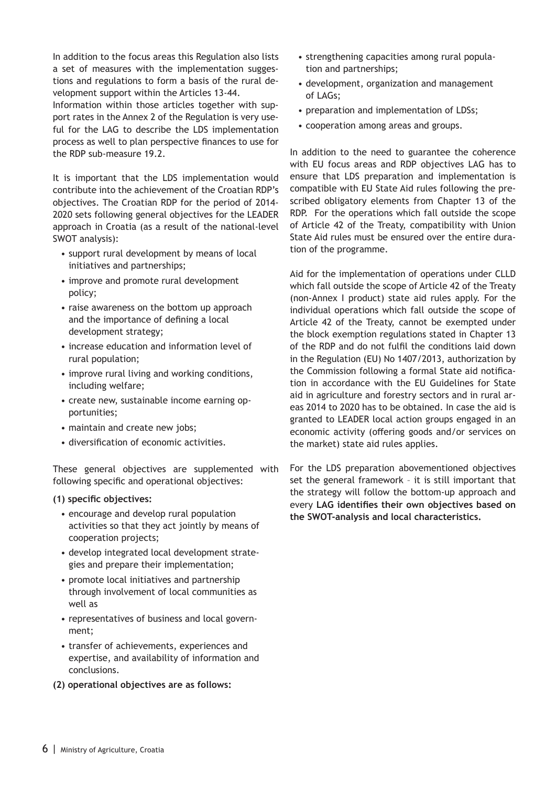In addition to the focus areas this Regulation also lists a set of measures with the implementation suggestions and regulations to form a basis of the rural development support within the Articles 13-44.

Information within those articles together with support rates in the Annex 2 of the Regulation is very useful for the LAG to describe the LDS implementation process as well to plan perspective finances to use for the RDP sub-measure 19.2.

It is important that the LDS implementation would contribute into the achievement of the Croatian RDP's objectives. The Croatian RDP for the period of 2014- 2020 sets following general objectives for the LEADER approach in Croatia (as a result of the national-level SWOT analysis):

- support rural development by means of local initiatives and partnerships;
- improve and promote rural development policy;
- raise awareness on the bottom up approach and the importance of defining a local development strategy;
- increase education and information level of rural population;
- improve rural living and working conditions, including welfare;
- create new, sustainable income earning opportunities;
- maintain and create new jobs;
- diversification of economic activities.

These general objectives are supplemented with following specific and operational objectives:

#### **(1) specific objectives:**

- encourage and develop rural population activities so that they act jointly by means of cooperation projects;
- develop integrated local development strategies and prepare their implementation;
- promote local initiatives and partnership through involvement of local communities as well as
- representatives of business and local government;
- transfer of achievements, experiences and expertise, and availability of information and conclusions.
- **(2) operational objectives are as follows:**
- strengthening capacities among rural population and partnerships;
- development, organization and management of LAGs;
- preparation and implementation of LDSs;
- cooperation among areas and groups.

In addition to the need to guarantee the coherence with EU focus areas and RDP objectives LAG has to ensure that LDS preparation and implementation is compatible with EU State Aid rules following the prescribed obligatory elements from Chapter 13 of the RDP. For the operations which fall outside the scope of Article 42 of the Treaty, compatibility with Union State Aid rules must be ensured over the entire duration of the programme.

Aid for the implementation of operations under CLLD which fall outside the scope of Article 42 of the Treaty (non-Annex I product) state aid rules apply. For the individual operations which fall outside the scope of Article 42 of the Treaty, cannot be exempted under the block exemption regulations stated in Chapter 13 of the RDP and do not fulfil the conditions laid down in the Regulation (EU) No 1407/2013, authorization by the Commission following a formal State aid notification in accordance with the EU Guidelines for State aid in agriculture and forestry sectors and in rural areas 2014 to 2020 has to be obtained. In case the aid is granted to LEADER local action groups engaged in an economic activity (offering goods and/or services on the market) state aid rules applies.

For the LDS preparation abovementioned objectives set the general framework – it is still important that the strategy will follow the bottom-up approach and every LAG identifies their own objectives based on **the SWOT-analysis and local characteristics.**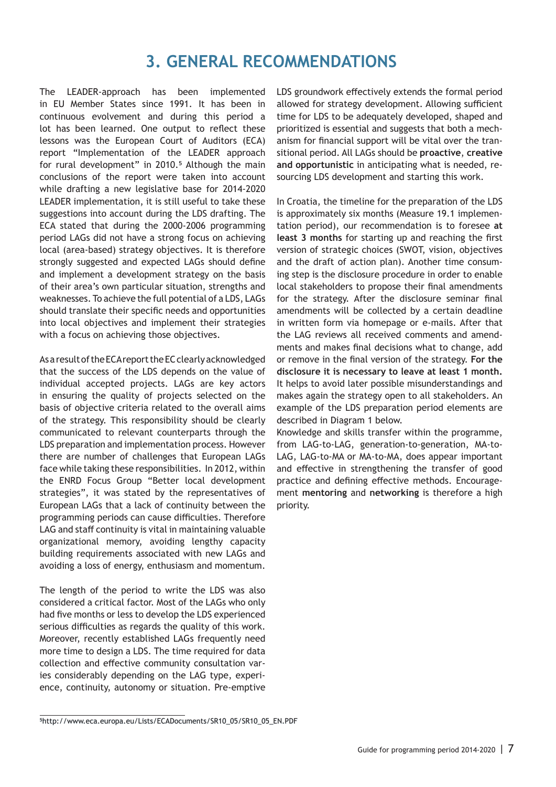# **3. GENERAL RECOMMENDATIONS**

The LEADER-approach has been implemented in EU Member States since 1991. It has been in continuous evolvement and during this period a lot has been learned. One output to reflect these lessons was the European Court of Auditors (ECA) report "Implementation of the LEADER approach for rural development" in 2010.<sup>5</sup> Although the main conclusions of the report were taken into account while drafting a new legislative base for 2014-2020 LEADER implementation, it is still useful to take these suggestions into account during the LDS drafting. The ECA stated that during the 2000-2006 programming period LAGs did not have a strong focus on achieving local (area-based) strategy objectives. It is therefore strongly suggested and expected LAGs should define and implement a development strategy on the basis of their area's own particular situation, strengths and weaknesses. To achieve the full potential of a LDS, LAGs should translate their specific needs and opportunities into local objectives and implement their strategies with a focus on achieving those objectives.

As a result of the ECA report the EC clearly acknowledged that the success of the LDS depends on the value of individual accepted projects. LAGs are key actors in ensuring the quality of projects selected on the basis of objective criteria related to the overall aims of the strategy. This responsibility should be clearly communicated to relevant counterparts through the LDS preparation and implementation process. However there are number of challenges that European LAGs face while taking these responsibilities. In 2012, within the ENRD Focus Group "Better local development strategies", it was stated by the representatives of European LAGs that a lack of continuity between the programming periods can cause difficulties. Therefore LAG and staff continuity is vital in maintaining valuable organizational memory, avoiding lengthy capacity building requirements associated with new LAGs and avoiding a loss of energy, enthusiasm and momentum.

The length of the period to write the LDS was also considered a critical factor. Most of the LAGs who only had five months or less to develop the LDS experienced serious difficulties as regards the quality of this work. Moreover, recently established LAGs frequently need more time to design a LDS. The time required for data collection and effective community consultation varies considerably depending on the LAG type, experience, continuity, autonomy or situation. Pre-emptive

LDS groundwork effectively extends the formal period allowed for strategy development. Allowing sufficient time for LDS to be adequately developed, shaped and prioritized is essential and suggests that both a mechanism for financial support will be vital over the transitional period. All LAGs should be **proactive**, **creative and opportunistic** in anticipating what is needed, resourcing LDS development and starting this work.

In Croatia, the timeline for the preparation of the LDS is approximately six months (Measure 19.1 implementation period), our recommendation is to foresee **at**  least 3 months for starting up and reaching the first version of strategic choices (SWOT, vision, objectives and the draft of action plan). Another time consuming step is the disclosure procedure in order to enable local stakeholders to propose their final amendments for the strategy. After the disclosure seminar final amendments will be collected by a certain deadline in written form via homepage or e-mails. After that the LAG reviews all received comments and amendments and makes final decisions what to change, add or remove in the final version of the strategy. For the **disclosure it is necessary to leave at least 1 month.** It helps to avoid later possible misunderstandings and makes again the strategy open to all stakeholders. An example of the LDS preparation period elements are described in Diagram 1 below.

Knowledge and skills transfer within the programme, from LAG-to-LAG, generation-to-generation, MA-to-LAG, LAG-to-MA or MA-to-MA, does appear important and effective in strengthening the transfer of good practice and defining effective methods. Encouragement **mentoring** and **networking** is therefore a high priority.

⁵http://www.eca.europa.eu/Lists/ECADocuments/SR10\_05/SR10\_05\_EN.PDF ttp://www.eca.europa.eu/Lists/ECADocuments/SR10\_05/SR10\_05\_EN.PDF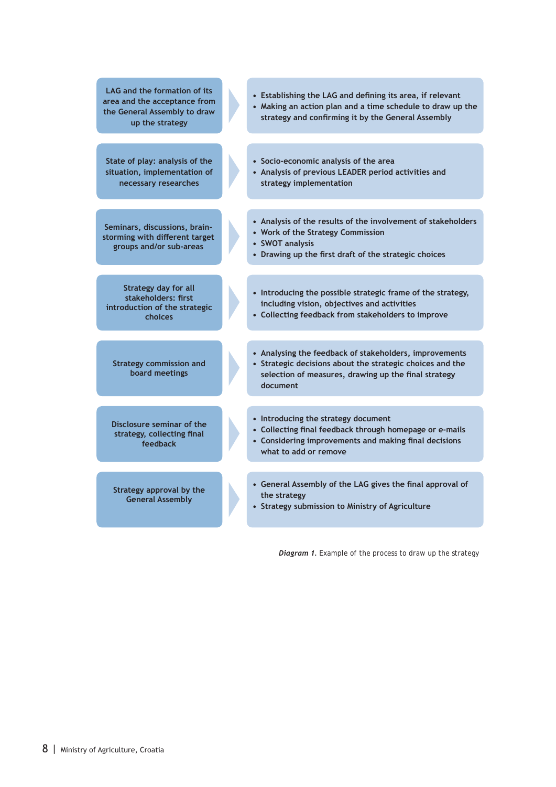

*Diagram 1. Example of the process to draw up the strategy*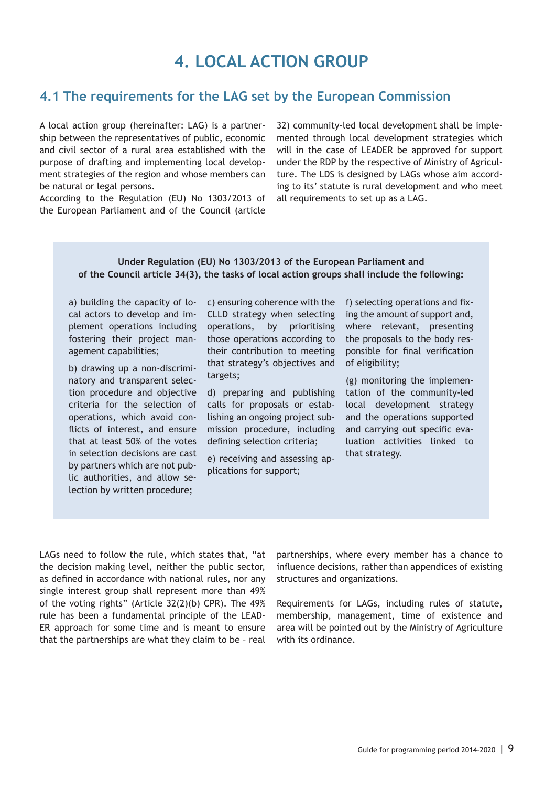# **4. LOCAL ACTION GROUP**

## **4.1 The requirements for the LAG set by the European Commission**

A local action group (hereinafter: LAG) is a partnership between the representatives of public, economic and civil sector of a rural area established with the purpose of drafting and implementing local development strategies of the region and whose members can be natural or legal persons.

According to the Regulation (EU) No 1303/2013 of the European Parliament and of the Council (article

32) community-led local development shall be implemented through local development strategies which will in the case of LEADER be approved for support under the RDP by the respective of Ministry of Agriculture. The LDS is designed by LAGs whose aim according to its' statute is rural development and who meet all requirements to set up as a LAG.

#### **Under Regulation (EU) No 1303/2013 of the European Parliament and of the Council article 34(3), the tasks of local action groups shall include the following:**

a) building the capacity of local actors to develop and implement operations including fostering their project management capabilities;

b) drawing up a non-discriminatory and transparent selection procedure and objective criteria for the selection of operations, which avoid conflicts of interest, and ensure that at least 50% of the votes in selection decisions are cast by partners which are not public authorities, and allow selection by written procedure;

c) ensuring coherence with the CLLD strategy when selecting operations, by prioritising those operations according to their contribution to meeting that strategy's objectives and targets;

d) preparing and publishing calls for proposals or establishing an ongoing project submission procedure, including defining selection criteria;

e) receiving and assessing applications for support;

f) selecting operations and fixing the amount of support and, where relevant, presenting the proposals to the body responsible for final verification of eligibility;

(g) monitoring the implementation of the community-led local development strategy and the operations supported and carrying out specific evaluation activities linked to that strategy.

LAGs need to follow the rule, which states that, "at the decision making level, neither the public sector, as defined in accordance with national rules, nor any single interest group shall represent more than 49% of the voting rights" (Article 32(2)(b) CPR). The 49% rule has been a fundamental principle of the LEAD-ER approach for some time and is meant to ensure that the partnerships are what they claim to be – real

partnerships, where every member has a chance to influence decisions, rather than appendices of existing structures and organizations.

Requirements for LAGs, including rules of statute, membership, management, time of existence and area will be pointed out by the Ministry of Agriculture with its ordinance.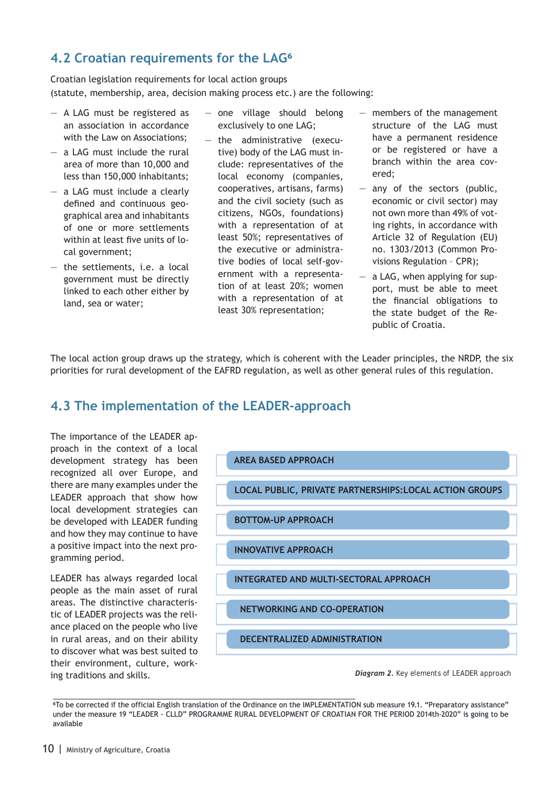# **4.2 Croatian requirements for the LAG<sup>6</sup>**

Croatian legislation requirements for local action groups (statute, membership, area, decision making process etc.) are the following:

- A LAG must be registered as an association in accordance with the Law on Associations;
- a LAG must include the rural area of more than 10,000 and less than 150,000 inhabitants;
- a LAG must include a clearly defined and continuous geographical area and inhabitants of one or more settlements within at least five units of local government;
- the settlements, i.e. a local government must be directly linked to each other either by land, sea or water;
- one village should belong exclusively to one LAG;
- the administrative (executive) body of the LAG must include: representatives of the local economy (companies, cooperatives, artisans, farms) and the civil society (such as citizens, NGOs, foundations) with a representation of at least 50%; representatives of the executive or administrative bodies of local self-government with a representation of at least 20%; women with a representation of at least 30% representation;
- members of the management structure of the LAG must have a permanent residence or be registered or have a branch within the area covered;
- any of the sectors (public, economic or civil sector) may not own more than 49% of voting rights, in accordance with Article 32 of Regulation (EU) no. 1303/2013 (Common Provisions Regulation – CPR);
- a LAG, when applying for support, must be able to meet the financial obligations to the state budget of the Republic of Croatia.

The local action group draws up the strategy, which is coherent with the Leader principles, the NRDP, the six priorities for rural development of the EAFRD regulation, as well as other general rules of this regulation.

# **4.3 The implementation of the LEADER-approach**

The importance of the LEADER approach in the context of a local development strategy has been recognized all over Europe, and there are many examples under the LEADER approach that show how local development strategies can be developed with LEADER funding and how they may continue to have a positive impact into the next programming period.

LEADER has always regarded local people as the main asset of rural areas. The distinctive characteristic of LEADER projects was the reliance placed on the people who live in rural areas, and on their ability to discover what was best suited to their environment, culture, working traditions and skills. *Diagram 2. Key elements of LEADER approach*



<sup>&</sup>lt;sup>6</sup>To be corrected if the official English translation of the Ordinance on the IMPLEMENTATION sub measure 19.1. "Preparatory assistance" under the measure 19 "LEADER - CLLD" PROGRAMME RURAL DEVELOPMENT OF CROATIAN FOR THE PERIOD 2014th-2020" is going to be available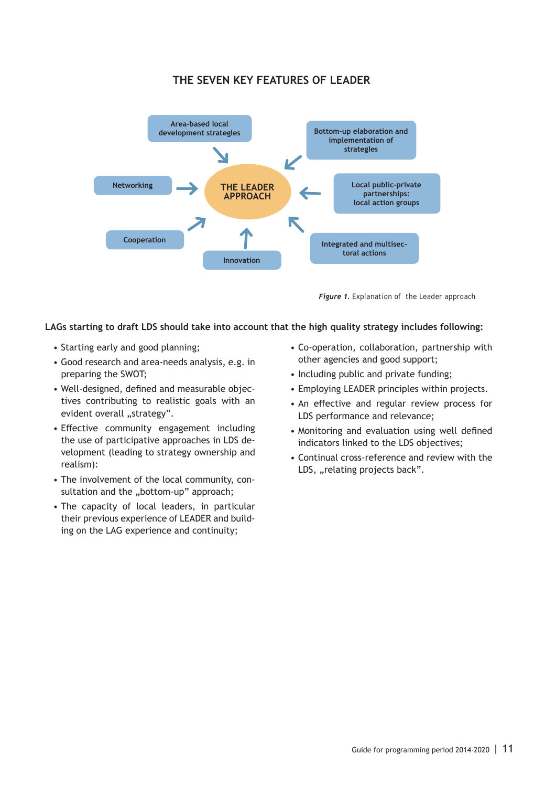## **THE SEVEN KEY FEATURES OF LEADER**



*Figure 1. Explanation of the Leader approach*

#### **LAGs starting to draft LDS should take into account that the high quality strategy includes following:**

- Starting early and good planning;
- Good research and area-needs analysis, e.g. in preparing the SWOT;
- Well-designed, defined and measurable objectives contributing to realistic goals with an evident overall "strategy".
- Effective community engagement including the use of participative approaches in LDS development (leading to strategy ownership and realism):
- The involvement of the local community, consultation and the "bottom-up" approach;
- The capacity of local leaders, in particular their previous experience of LEADER and building on the LAG experience and continuity;
- Co-operation, collaboration, partnership with other agencies and good support;
- Including public and private funding;
- Employing LEADER principles within projects.
- An effective and regular review process for LDS performance and relevance;
- Monitoring and evaluation using well defined indicators linked to the LDS objectives;
- Continual cross-reference and review with the LDS, "relating projects back".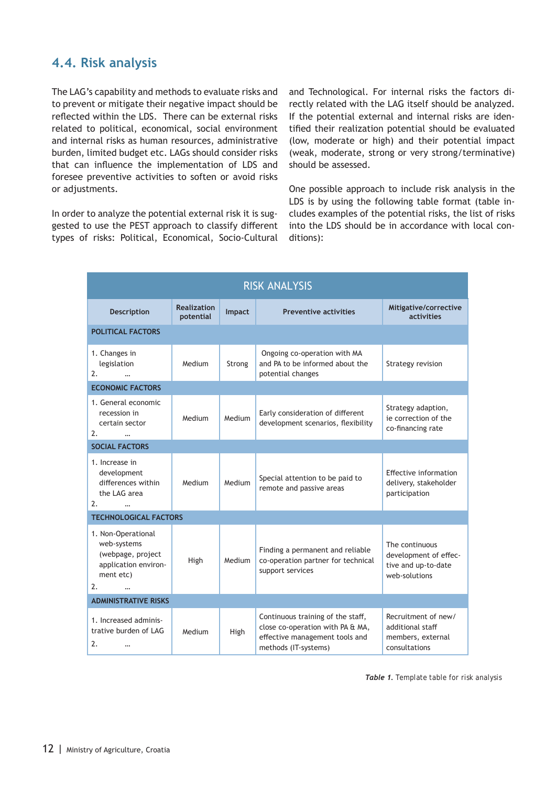## **4.4. Risk analysis**

The LAG's capability and methods to evaluate risks and to prevent or mitigate their negative impact should be reflected within the LDS. There can be external risks related to political, economical, social environment and internal risks as human resources, administrative burden, limited budget etc. LAGs should consider risks that can influence the implementation of LDS and foresee preventive activities to soften or avoid risks or adjustments.

In order to analyze the potential external risk it is suggested to use the PEST approach to classify different types of risks: Political, Economical, Socio-Cultural

and Technological. For internal risks the factors directly related with the LAG itself should be analyzed. If the potential external and internal risks are identified their realization potential should be evaluated (low, moderate or high) and their potential impact (weak, moderate, strong or very strong/terminative) should be assessed.

One possible approach to include risk analysis in the LDS is by using the following table format (table includes examples of the potential risks, the list of risks into the LDS should be in accordance with local conditions):

| <b>RISK ANALYSIS</b>                                                                              |                                 |        |                                                                                                                                 |                                                                                 |  |
|---------------------------------------------------------------------------------------------------|---------------------------------|--------|---------------------------------------------------------------------------------------------------------------------------------|---------------------------------------------------------------------------------|--|
| <b>Description</b>                                                                                | <b>Realization</b><br>potential | Impact | <b>Preventive activities</b>                                                                                                    | Mitigative/corrective<br>activities                                             |  |
| <b>POLITICAL FACTORS</b>                                                                          |                                 |        |                                                                                                                                 |                                                                                 |  |
| 1. Changes in<br>legislation<br>2.<br>$\ddotsc$                                                   | Medium                          | Strong | Ongoing co-operation with MA<br>and PA to be informed about the<br>potential changes                                            | Strategy revision                                                               |  |
| <b>ECONOMIC FACTORS</b>                                                                           |                                 |        |                                                                                                                                 |                                                                                 |  |
| 1. General economic<br>recession in<br>certain sector<br>$\mathcal{P}_{\cdot}$<br>$\ddotsc$       | Medium                          | Medium | Early consideration of different<br>development scenarios, flexibility                                                          | Strategy adaption,<br>ie correction of the<br>co-financing rate                 |  |
| <b>SOCIAL FACTORS</b>                                                                             |                                 |        |                                                                                                                                 |                                                                                 |  |
| 1. Increase in<br>development<br>differences within<br>the LAG area<br>2.                         | Medium                          | Medium | Special attention to be paid to<br>remote and passive areas                                                                     | Effective information<br>delivery, stakeholder<br>participation                 |  |
| <b>TECHNOLOGICAL FACTORS</b>                                                                      |                                 |        |                                                                                                                                 |                                                                                 |  |
| 1. Non-Operational<br>web-systems<br>(webpage, project<br>application environ-<br>ment etc)<br>2. | High                            | Medium | Finding a permanent and reliable<br>co-operation partner for technical<br>support services                                      | The continuous<br>development of effec-<br>tive and up-to-date<br>web-solutions |  |
| <b>ADMINISTRATIVE RISKS</b>                                                                       |                                 |        |                                                                                                                                 |                                                                                 |  |
| 1. Increased adminis-<br>trative burden of LAG<br>2.<br>$\ddotsc$                                 | Medium                          | High   | Continuous training of the staff,<br>close co-operation with PA & MA,<br>effective management tools and<br>methods (IT-systems) | Recruitment of new/<br>additional staff<br>members, external<br>consultations   |  |

*Table 1. Template table for risk analysis*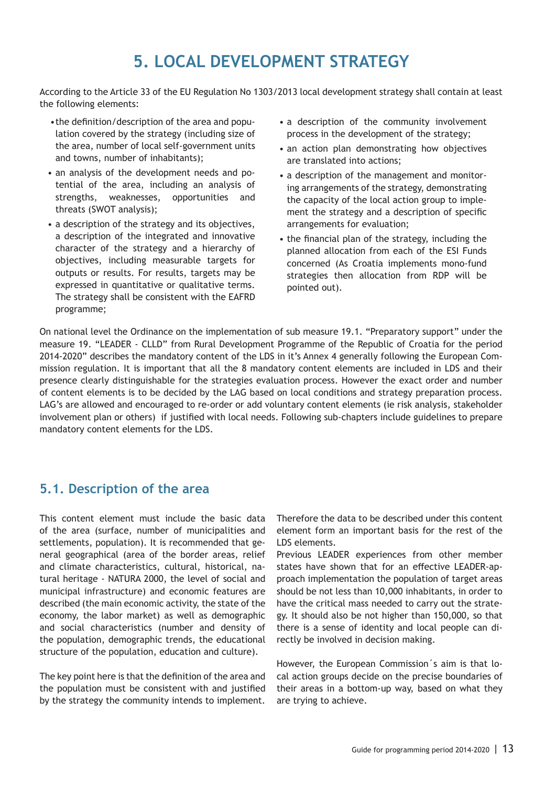# **5. LOCAL DEVELOPMENT STRATEGY**

According to the Article 33 of the EU Regulation No 1303/2013 local development strategy shall contain at least the following elements:

- the definition/description of the area and population covered by the strategy (including size of the area, number of local self-government units and towns, number of inhabitants);
- an analysis of the development needs and potential of the area, including an analysis of strengths, weaknesses, opportunities and threats (SWOT analysis);
- a description of the strategy and its objectives, a description of the integrated and innovative character of the strategy and a hierarchy of objectives, including measurable targets for outputs or results. For results, targets may be expressed in quantitative or qualitative terms. The strategy shall be consistent with the EAFRD programme;
- a description of the community involvement process in the development of the strategy;
- an action plan demonstrating how objectives are translated into actions;
- a description of the management and monitoring arrangements of the strategy, demonstrating the capacity of the local action group to implement the strategy and a description of specific arrangements for evaluation;
- the financial plan of the strategy, including the planned allocation from each of the ESI Funds concerned (As Croatia implements mono-fund strategies then allocation from RDP will be pointed out).

On national level the Ordinance on the implementation of sub measure 19.1. "Preparatory support" under the measure 19. "LEADER - CLLD" from Rural Development Programme of the Republic of Croatia for the period 2014-2020" describes the mandatory content of the LDS in it's Annex 4 generally following the European Commission regulation. It is important that all the 8 mandatory content elements are included in LDS and their presence clearly distinguishable for the strategies evaluation process. However the exact order and number of content elements is to be decided by the LAG based on local conditions and strategy preparation process. LAG's are allowed and encouraged to re-order or add voluntary content elements (ie risk analysis, stakeholder involvement plan or others) if justified with local needs. Following sub-chapters include guidelines to prepare mandatory content elements for the LDS.

## **5.1. Description of the area**

This content element must include the basic data of the area (surface, number of municipalities and settlements, population). It is recommended that general geographical (area of the border areas, relief and climate characteristics, cultural, historical, natural heritage - NATURA 2000, the level of social and municipal infrastructure) and economic features are described (the main economic activity, the state of the economy, the labor market) as well as demographic and social characteristics (number and density of the population, demographic trends, the educational structure of the population, education and culture).

The key point here is that the definition of the area and the population must be consistent with and justified by the strategy the community intends to implement. Therefore the data to be described under this content element form an important basis for the rest of the LDS elements.

Previous LEADER experiences from other member states have shown that for an effective LEADER-approach implementation the population of target areas should be not less than 10,000 inhabitants, in order to have the critical mass needed to carry out the strategy. It should also be not higher than 150,000, so that there is a sense of identity and local people can directly be involved in decision making.

However, the European Commission´s aim is that local action groups decide on the precise boundaries of their areas in a bottom-up way, based on what they are trying to achieve.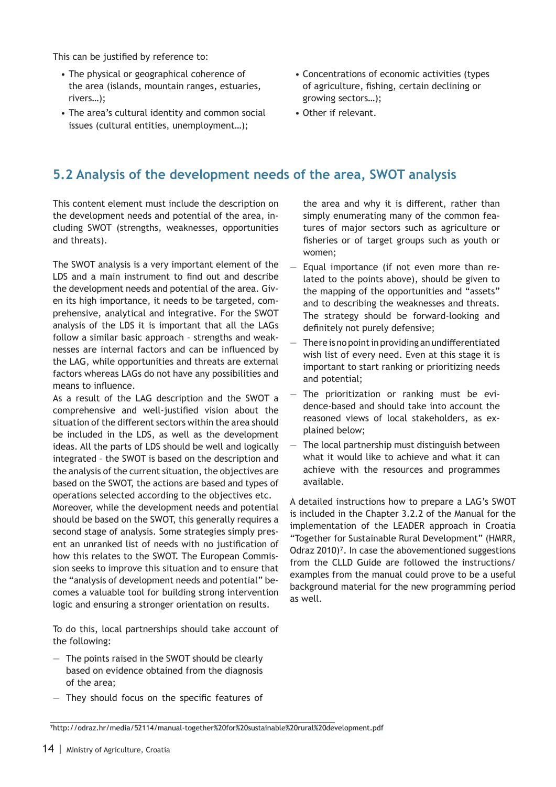This can be justified by reference to:

- The physical or geographical coherence of the area (islands, mountain ranges, estuaries, rivers…);
- The area's cultural identity and common social issues (cultural entities, unemployment…);
- Concentrations of economic activities (types of agriculture, fishing, certain declining or growing sectors…);
- Other if relevant.

# **5.2 Analysis of the development needs of the area, SWOT analysis**

This content element must include the description on the development needs and potential of the area, including SWOT (strengths, weaknesses, opportunities and threats).

The SWOT analysis is a very important element of the LDS and a main instrument to find out and describe the development needs and potential of the area. Given its high importance, it needs to be targeted, comprehensive, analytical and integrative. For the SWOT analysis of the LDS it is important that all the LAGs follow a similar basic approach – strengths and weaknesses are internal factors and can be influenced by the LAG, while opportunities and threats are external factors whereas LAGs do not have any possibilities and means to influence.

As a result of the LAG description and the SWOT a comprehensive and well-justified vision about the situation of the different sectors within the area should be included in the LDS, as well as the development ideas. All the parts of LDS should be well and logically integrated – the SWOT is based on the description and the analysis of the current situation, the objectives are based on the SWOT, the actions are based and types of operations selected according to the objectives etc.

Moreover, while the development needs and potential should be based on the SWOT, this generally requires a second stage of analysis. Some strategies simply present an unranked list of needs with no justification of how this relates to the SWOT. The European Commission seeks to improve this situation and to ensure that the "analysis of development needs and potential" becomes a valuable tool for building strong intervention logic and ensuring a stronger orientation on results.

To do this, local partnerships should take account of the following:

- The points raised in the SWOT should be clearly based on evidence obtained from the diagnosis of the area;
- $-$  They should focus on the specific features of

the area and why it is different, rather than simply enumerating many of the common features of major sectors such as agriculture or fisheries or of target groups such as youth or women;

- Equal importance (if not even more than related to the points above), should be given to the mapping of the opportunities and "assets" and to describing the weaknesses and threats. The strategy should be forward-looking and definitely not purely defensive;
- There is no point in providing an undifferentiated wish list of every need. Even at this stage it is important to start ranking or prioritizing needs and potential;
- The prioritization or ranking must be evidence-based and should take into account the reasoned views of local stakeholders, as explained below;
- The local partnership must distinguish between what it would like to achieve and what it can achieve with the resources and programmes available.

A detailed instructions how to prepare a LAG's SWOT is included in the Chapter 3.2.2 of the Manual for the implementation of the LEADER approach in Croatia "Together for Sustainable Rural Development" (HMRR, Odraz 2010)<sup>7</sup>. In case the abovementioned suggestions from the CLLD Guide are followed the instructions/ examples from the manual could prove to be a useful background material for the new programming period as well.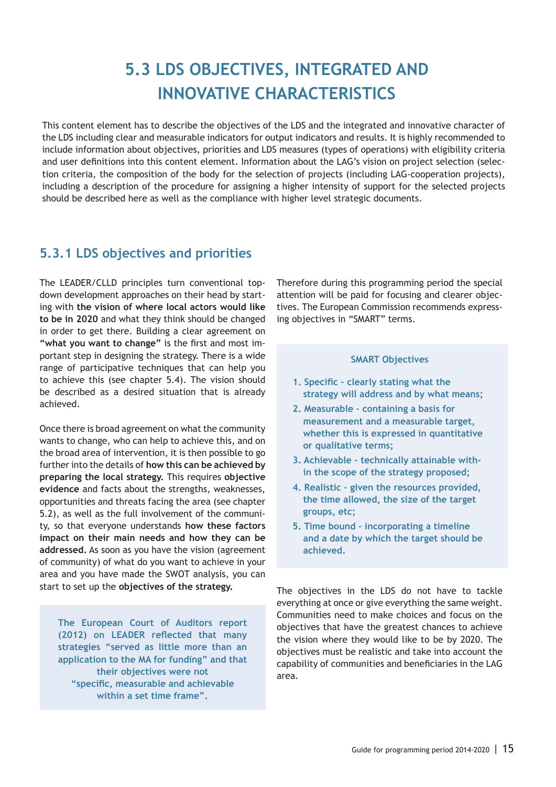# **5.3 LDS OBJECTIVES, INTEGRATED AND INNOVATIVE CHARACTERISTICS**

This content element has to describe the objectives of the LDS and the integrated and innovative character of the LDS including clear and measurable indicators for output indicators and results. It is highly recommended to include information about objectives, priorities and LDS measures (types of operations) with eligibility criteria and user definitions into this content element. Information about the LAG's vision on project selection (selection criteria, the composition of the body for the selection of projects (including LAG-cooperation projects), including a description of the procedure for assigning a higher intensity of support for the selected projects should be described here as well as the compliance with higher level strategic documents.

## **5.3.1 LDS objectives and priorities**

The LEADER/CLLD principles turn conventional topdown development approaches on their head by starting with **the vision of where local actors would like to be in 2020** and what they think should be changed in order to get there. Building a clear agreement on "what you want to change" is the first and most important step in designing the strategy. There is a wide range of participative techniques that can help you to achieve this (see chapter 5.4). The vision should be described as a desired situation that is already achieved.

Once there is broad agreement on what the community wants to change, who can help to achieve this, and on the broad area of intervention, it is then possible to go further into the details of **how this can be achieved by preparing the local strategy.** This requires **objective evidence** and facts about the strengths, weaknesses, opportunities and threats facing the area (see chapter 5.2), as well as the full involvement of the community, so that everyone understands **how these factors impact on their main needs and how they can be addressed.** As soon as you have the vision (agreement of community) of what do you want to achieve in your area and you have made the SWOT analysis, you can start to set up the **objectives of the strategy.**

**The European Court of Auditors report (2012)** on LEADER reflected that many **strategies "served as little more than an application to the MA for funding" and that their objectives were not**  "specific, measurable and achievable **within a set time frame".** 

Therefore during this programming period the special attention will be paid for focusing and clearer objectives. The European Commission recommends expressing objectives in "SMART" terms.

#### **SMART Objectives**

- 1. Specific clearly stating what the **strategy will address and by what means;**
- **2. Measurable containing a basis for measurement and a measurable target, whether this is expressed in quantitative or qualitative terms;**
- **3. Achievable technically attainable within the scope of the strategy proposed;**
- **4. Realistic given the resources provided, the time allowed, the size of the target groups, etc;**
- **5. Time bound incorporating a timeline and a date by which the target should be achieved.**

The objectives in the LDS do not have to tackle everything at once or give everything the same weight. Communities need to make choices and focus on the objectives that have the greatest chances to achieve the vision where they would like to be by 2020. The objectives must be realistic and take into account the capability of communities and beneficiaries in the LAG area.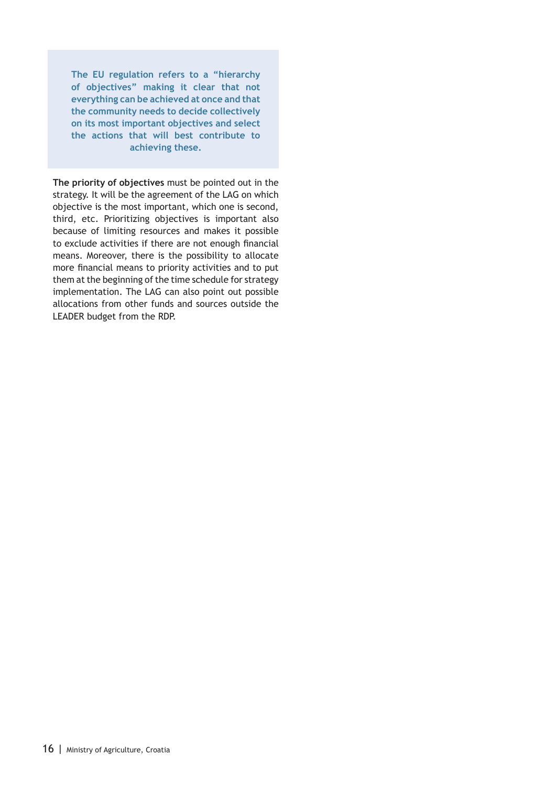**The EU regulation refers to a "hierarchy of objectives" making it clear that not everything can be achieved at once and that the community needs to decide collectively on its most important objectives and select the actions that will best contribute to achieving these.** 

**The priority of objectives** must be pointed out in the strategy. It will be the agreement of the LAG on which objective is the most important, which one is second, third, etc. Prioritizing objectives is important also because of limiting resources and makes it possible to exclude activities if there are not enough financial means. Moreover, there is the possibility to allocate more financial means to priority activities and to put them at the beginning of the time schedule for strategy implementation. The LAG can also point out possible allocations from other funds and sources outside the LEADER budget from the RDP.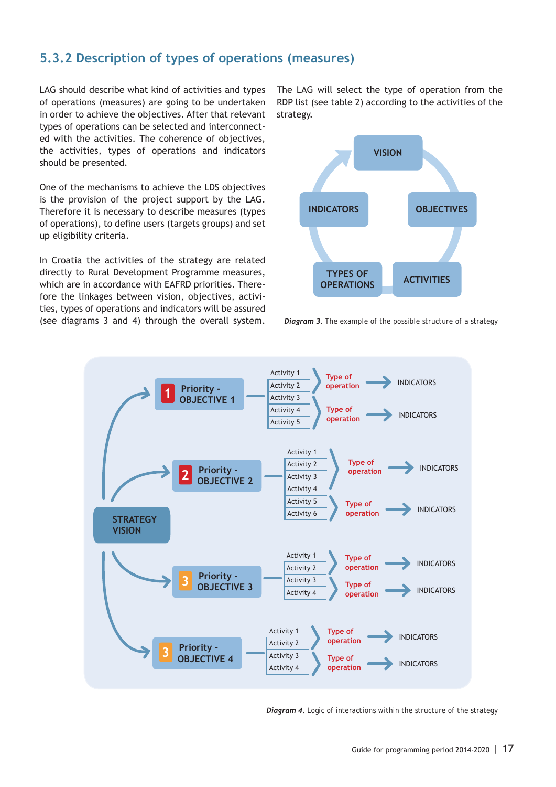## **5.3.2 Description of types of operations (measures)**

LAG should describe what kind of activities and types of operations (measures) are going to be undertaken in order to achieve the objectives. After that relevant types of operations can be selected and interconnected with the activities. The coherence of objectives, the activities, types of operations and indicators should be presented.

One of the mechanisms to achieve the LDS objectives is the provision of the project support by the LAG. Therefore it is necessary to describe measures (types of operations), to define users (targets groups) and set up eligibility criteria.

In Croatia the activities of the strategy are related directly to Rural Development Programme measures, which are in accordance with EAFRD priorities. Therefore the linkages between vision, objectives, activities, types of operations and indicators will be assured (see diagrams 3 and 4) through the overall system. The LAG will select the type of operation from the RDP list (see table 2) according to the activities of the strategy.



*Diagram 3. The example of the possible structure of a strategy*



*Diagram 4. Logic of interactions within the structure of the strategy*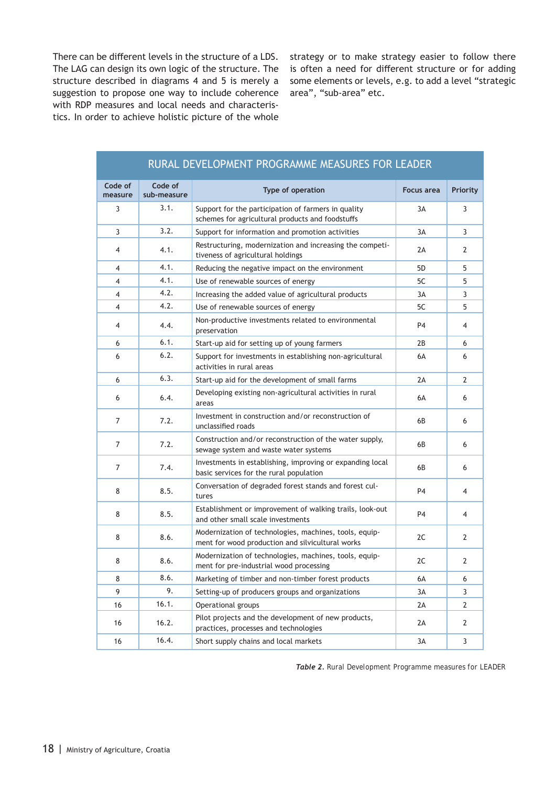There can be different levels in the structure of a LDS. The LAG can design its own logic of the structure. The structure described in diagrams 4 and 5 is merely a suggestion to propose one way to include coherence with RDP measures and local needs and characteristics. In order to achieve holistic picture of the whole

strategy or to make strategy easier to follow there is often a need for different structure or for adding some elements or levels, e.g. to add a level "strategic area", "sub-area" etc.

| RURAL DEVELOPMENT PROGRAMME MEASURES FOR LEADER |                        |                                                                                                            |                |                 |  |
|-------------------------------------------------|------------------------|------------------------------------------------------------------------------------------------------------|----------------|-----------------|--|
| Code of<br>measure                              | Code of<br>sub-measure | Type of operation                                                                                          | Focus area     | <b>Priority</b> |  |
| 3                                               | 3.1.                   | Support for the participation of farmers in quality<br>schemes for agricultural products and foodstuffs    | 3A             | 3               |  |
| 3                                               | 3.2.                   | Support for information and promotion activities                                                           | 3A             | 3               |  |
| 4                                               | 4.1.                   | Restructuring, modernization and increasing the competi-<br>tiveness of agricultural holdings              | 2A             | $\overline{2}$  |  |
| 4                                               | 4.1.                   | Reducing the negative impact on the environment                                                            | 5D             | 5               |  |
| 4                                               | 4.1.                   | Use of renewable sources of energy                                                                         | 5C             | 5               |  |
| 4                                               | 4.2.                   | Increasing the added value of agricultural products                                                        | 3A             | 3               |  |
| 4                                               | 4.2.                   | Use of renewable sources of energy                                                                         | 5C             | 5               |  |
| 4                                               | 4.4.                   | Non-productive investments related to environmental<br>preservation                                        | P <sub>4</sub> | 4               |  |
| 6                                               | 6.1.                   | Start-up aid for setting up of young farmers                                                               | 2B             | 6               |  |
| 6                                               | 6.2.                   | Support for investments in establishing non-agricultural<br>activities in rural areas                      | 6A             | 6               |  |
| 6                                               | 6.3.                   | Start-up aid for the development of small farms                                                            | 2A             | $\overline{2}$  |  |
| 6                                               | 6.4.                   | Developing existing non-agricultural activities in rural<br>areas                                          | 6A             | 6               |  |
| 7                                               | 7.2.                   | Investment in construction and/or reconstruction of<br>unclassified roads                                  | 6B             | 6               |  |
| 7                                               | 7.2.                   | Construction and/or reconstruction of the water supply,<br>sewage system and waste water systems           | 6B             | 6               |  |
| 7                                               | 7.4.                   | Investments in establishing, improving or expanding local<br>basic services for the rural population       | 6B             | 6               |  |
| 8                                               | 8.5.                   | Conversation of degraded forest stands and forest cul-<br>tures                                            | P4             | 4               |  |
| 8                                               | 8.5.                   | Establishment or improvement of walking trails, look-out<br>and other small scale investments              | P4             | 4               |  |
| 8                                               | 8.6.                   | Modernization of technologies, machines, tools, equip-<br>ment for wood production and silvicultural works | 2C             | $\overline{2}$  |  |
| 8                                               | 8.6.                   | Modernization of technologies, machines, tools, equip-<br>2C<br>ment for pre-industrial wood processing    |                | 2               |  |
| 8                                               | 8.6.                   | Marketing of timber and non-timber forest products                                                         | 6A             | 6               |  |
| 9                                               | 9.                     | Setting-up of producers groups and organizations                                                           | 3A             | 3               |  |
| 16                                              | 16.1.                  | Operational groups                                                                                         | 2A             | $\overline{2}$  |  |
| 16                                              | 16.2.                  | Pilot projects and the development of new products,<br>practices, processes and technologies               | 2A             | 2               |  |
| 16                                              | 16.4.                  | Short supply chains and local markets                                                                      | 3A             | 3               |  |

*Table 2. Rural Development Programme measures for LEADER*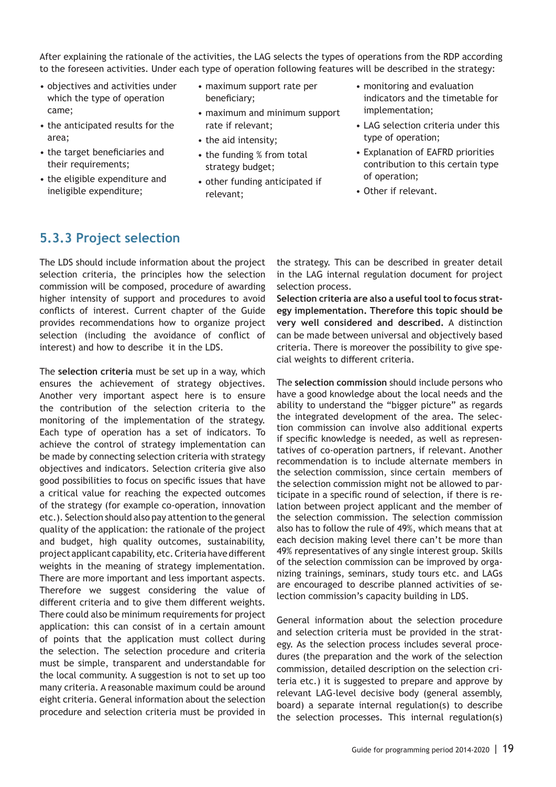After explaining the rationale of the activities, the LAG selects the types of operations from the RDP according to the foreseen activities. Under each type of operation following features will be described in the strategy:

- objectives and activities under which the type of operation came;
- the anticipated results for the area;
- the target beneficiaries and their requirements;
- the eligible expenditure and ineligible expenditure;
- maximum support rate per beneficiary;
- maximum and minimum support rate if relevant;
- the aid intensity;
- the funding % from total strategy budget;
- other funding anticipated if relevant;
- monitoring and evaluation indicators and the timetable for implementation;
- LAG selection criteria under this type of operation;
- Explanation of EAFRD priorities contribution to this certain type of operation;
- Other if relevant.

## **5.3.3 Project selection**

The LDS should include information about the project selection criteria, the principles how the selection commission will be composed, procedure of awarding higher intensity of support and procedures to avoid conflicts of interest. Current chapter of the Guide provides recommendations how to organize project selection (including the avoidance of conflict of interest) and how to describe it in the LDS.

The **selection criteria** must be set up in a way, which ensures the achievement of strategy objectives. Another very important aspect here is to ensure the contribution of the selection criteria to the monitoring of the implementation of the strategy. Each type of operation has a set of indicators. To achieve the control of strategy implementation can be made by connecting selection criteria with strategy objectives and indicators. Selection criteria give also good possibilities to focus on specific issues that have a critical value for reaching the expected outcomes of the strategy (for example co-operation, innovation etc.). Selection should also pay attention to the general quality of the application: the rationale of the project and budget, high quality outcomes, sustainability, project applicant capability, etc. Criteria have different weights in the meaning of strategy implementation. There are more important and less important aspects. Therefore we suggest considering the value of different criteria and to give them different weights. There could also be minimum requirements for project application: this can consist of in a certain amount of points that the application must collect during the selection. The selection procedure and criteria must be simple, transparent and understandable for the local community. A suggestion is not to set up too many criteria. A reasonable maximum could be around eight criteria. General information about the selection procedure and selection criteria must be provided in

the strategy. This can be described in greater detail in the LAG internal regulation document for project selection process.

**Selection criteria are also a useful tool to focus strategy implementation. Therefore this topic should be very well considered and described.** A distinction can be made between universal and objectively based criteria. There is moreover the possibility to give special weights to different criteria.

The **selection commission** should include persons who have a good knowledge about the local needs and the ability to understand the "bigger picture" as regards the integrated development of the area. The selection commission can involve also additional experts if specific knowledge is needed, as well as representatives of co-operation partners, if relevant. Another recommendation is to include alternate members in the selection commission, since certain members of the selection commission might not be allowed to participate in a specific round of selection, if there is relation between project applicant and the member of the selection commission. The selection commission also has to follow the rule of 49%, which means that at each decision making level there can't be more than 49% representatives of any single interest group. Skills of the selection commission can be improved by organizing trainings, seminars, study tours etc. and LAGs are encouraged to describe planned activities of selection commission's capacity building in LDS.

General information about the selection procedure and selection criteria must be provided in the strategy. As the selection process includes several procedures (the preparation and the work of the selection commission, detailed description on the selection criteria etc.) it is suggested to prepare and approve by relevant LAG-level decisive body (general assembly, board) a separate internal regulation(s) to describe the selection processes. This internal regulation(s)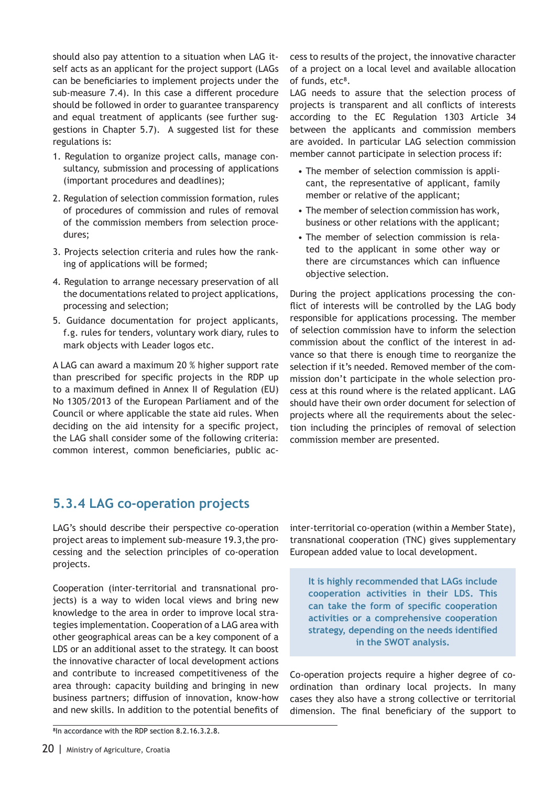should also pay attention to a situation when LAG itself acts as an applicant for the project support (LAGs can be beneficiaries to implement projects under the sub-measure 7.4). In this case a different procedure should be followed in order to guarantee transparency and equal treatment of applicants (see further suggestions in Chapter 5.7). A suggested list for these regulations is:

- 1. Regulation to organize project calls, manage consultancy, submission and processing of applications (important procedures and deadlines);
- 2. Regulation of selection commission formation, rules of procedures of commission and rules of removal of the commission members from selection procedures;
- 3. Projects selection criteria and rules how the ranking of applications will be formed;
- 4. Regulation to arrange necessary preservation of all the documentations related to project applications, processing and selection;
- 5. Guidance documentation for project applicants, f.g. rules for tenders, voluntary work diary, rules to mark objects with Leader logos etc.

A LAG can award a maximum 20 % higher support rate than prescribed for specific projects in the RDP up to a maximum defined in Annex II of Regulation (EU) No 1305/2013 of the European Parliament and of the Council or where applicable the state aid rules. When deciding on the aid intensity for a specific project, the LAG shall consider some of the following criteria: common interest, common beneficiaries, public access to results of the project, the innovative character of a project on a local level and available allocation of funds, etc<sup>8</sup>.

LAG needs to assure that the selection process of projects is transparent and all conflicts of interests according to the EC Regulation 1303 Article 34 between the applicants and commission members are avoided. In particular LAG selection commission member cannot participate in selection process if:

- The member of selection commission is applicant, the representative of applicant, family member or relative of the applicant;
- The member of selection commission has work, business or other relations with the applicant;
- The member of selection commission is related to the applicant in some other way or there are circumstances which can influence objective selection.

During the project applications processing the conflict of interests will be controlled by the LAG body responsible for applications processing. The member of selection commission have to inform the selection commission about the conflict of the interest in advance so that there is enough time to reorganize the selection if it's needed. Removed member of the commission don't participate in the whole selection process at this round where is the related applicant. LAG should have their own order document for selection of projects where all the requirements about the selection including the principles of removal of selection commission member are presented.

# **5.3.4 LAG co-operation projects**

LAG's should describe their perspective co-operation project areas to implement sub-measure 19.3,the processing and the selection principles of co-operation projects.

Cooperation (inter-territorial and transnational projects) is a way to widen local views and bring new knowledge to the area in order to improve local strategies implementation. Cooperation of a LAG area with other geographical areas can be a key component of a LDS or an additional asset to the strategy. It can boost the innovative character of local development actions and contribute to increased competitiveness of the area through: capacity building and bringing in new business partners; diffusion of innovation, know-how and new skills. In addition to the potential benefits of

inter-territorial co-operation (within a Member State), transnational cooperation (TNC) gives supplementary European added value to local development.

**It is highly recommended that LAGs include cooperation activities in their LDS. This**  can take the form of specific cooperation **activities or a comprehensive cooperation**  strategy, depending on the needs identified **in the SWOT analysis.**

Co-operation projects require a higher degree of coordination than ordinary local projects. In many cases they also have a strong collective or territorial dimension. The final beneficiary of the support to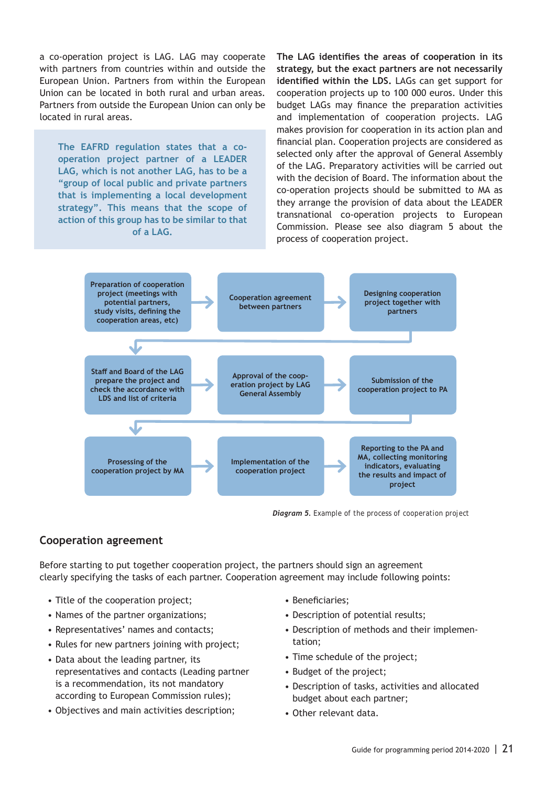a co-operation project is LAG. LAG may cooperate with partners from countries within and outside the European Union. Partners from within the European Union can be located in both rural and urban areas. Partners from outside the European Union can only be located in rural areas.

**The EAFRD regulation states that a cooperation project partner of a LEADER LAG, which is not another LAG, has to be a "group of local public and private partners that is implementing a local development strategy". This means that the scope of action of this group has to be similar to that of a LAG.**

The LAG identifies the areas of cooperation in its **strategy, but the exact partners are not necessarily identified within the LDS.** LAGs can get support for cooperation projects up to 100 000 euros. Under this budget LAGs may finance the preparation activities and implementation of cooperation projects. LAG makes provision for cooperation in its action plan and financial plan. Cooperation projects are considered as selected only after the approval of General Assembly of the LAG. Preparatory activities will be carried out with the decision of Board. The information about the co-operation projects should be submitted to MA as they arrange the provision of data about the LEADER transnational co-operation projects to European Commission. Please see also diagram 5 about the process of cooperation project.



*Diagram 5. Example of the process of cooperation project*

#### **Cooperation agreement**

Before starting to put together cooperation project, the partners should sign an agreement clearly specifying the tasks of each partner. Cooperation agreement may include following points:

- Title of the cooperation project;
- Names of the partner organizations;
- Representatives' names and contacts;
- Rules for new partners joining with project;
- Data about the leading partner, its representatives and contacts (Leading partner is a recommendation, its not mandatory according to European Commission rules);
- Objectives and main activities description;
- Beneficiaries;
- Description of potential results;
- Description of methods and their implementation;
- Time schedule of the project;
- Budget of the project;
- Description of tasks, activities and allocated budget about each partner;
- Other relevant data.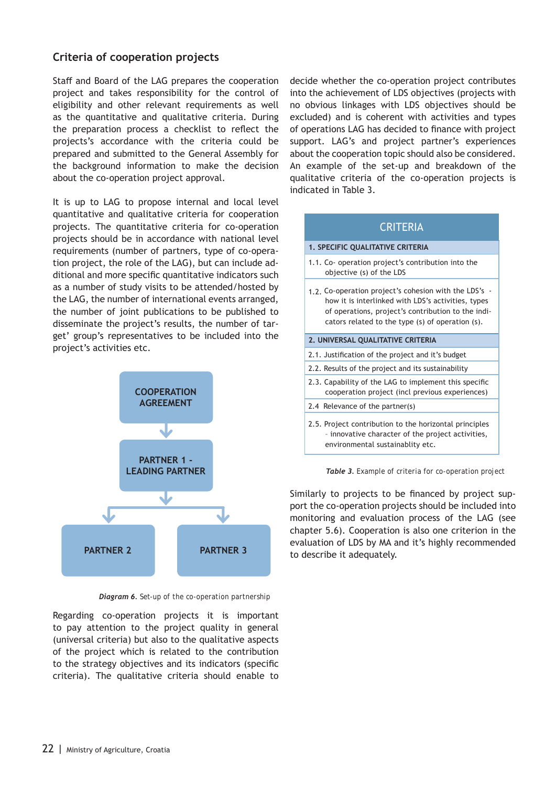## **Criteria of cooperation projects**

Staff and Board of the LAG prepares the cooperation project and takes responsibility for the control of eligibility and other relevant requirements as well as the quantitative and qualitative criteria. During the preparation process a checklist to reflect the projects's accordance with the criteria could be prepared and submitted to the General Assembly for the background information to make the decision about the co-operation project approval.

It is up to LAG to propose internal and local level quantitative and qualitative criteria for cooperation projects. The quantitative criteria for co-operation projects should be in accordance with national level requirements (number of partners, type of co-operation project, the role of the LAG), but can include additional and more specific quantitative indicators such as a number of study visits to be attended/hosted by the LAG, the number of international events arranged, the number of joint publications to be published to disseminate the project's results, the number of target' group's representatives to be included into the project's activities etc.



*Diagram 6. Set-up of the co-operation partnership*

Regarding co-operation projects it is important to pay attention to the project quality in general (universal criteria) but also to the qualitative aspects of the project which is related to the contribution to the strategy objectives and its indicators (specific criteria). The qualitative criteria should enable to decide whether the co-operation project contributes into the achievement of LDS objectives (projects with no obvious linkages with LDS objectives should be excluded) and is coherent with activities and types of operations LAG has decided to finance with project support. LAG's and project partner's experiences about the cooperation topic should also be considered. An example of the set-up and breakdown of the qualitative criteria of the co-operation projects is indicated in Table 3.

| <b>CRITERIA</b>                                                                                                                                                                                                       |
|-----------------------------------------------------------------------------------------------------------------------------------------------------------------------------------------------------------------------|
| 1. SPECIFIC QUALITATIVE CRITERIA                                                                                                                                                                                      |
| 1.1. Co- operation project's contribution into the<br>objective (s) of the LDS                                                                                                                                        |
| 1.2. Co-operation project's cohesion with the LDS's -<br>how it is interlinked with LDS's activities, types<br>of operations, project's contribution to the indi-<br>cators related to the type (s) of operation (s). |
| 2. UNIVERSAL QUALITATIVE CRITERIA                                                                                                                                                                                     |
| 2.1. Justification of the project and it's budget                                                                                                                                                                     |
| 2.2. Results of the project and its sustainability                                                                                                                                                                    |
| 2.3. Capability of the LAG to implement this specific<br>cooperation project (incl previous experiences)                                                                                                              |
| 2.4 Relevance of the partner(s)                                                                                                                                                                                       |
| 2.5. Project contribution to the horizontal principles<br>- innovative character of the project activities,<br>environmental sustainablity etc.                                                                       |

*Table 3. Example of criteria for co-operation project*

Similarly to projects to be financed by project support the co-operation projects should be included into monitoring and evaluation process of the LAG (see chapter 5.6). Cooperation is also one criterion in the evaluation of LDS by MA and it's highly recommended to describe it adequately.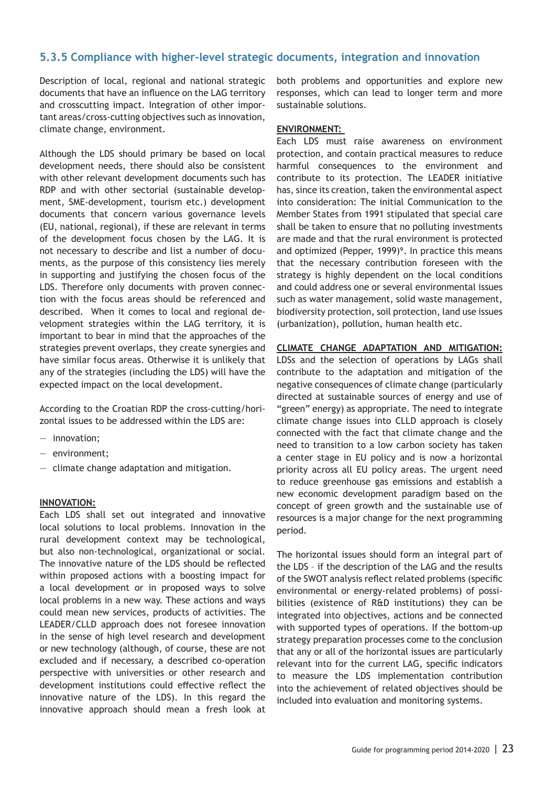## **5.3.5 Compliance with higher-level strategic documents, integration and innovation**

Description of local, regional and national strategic documents that have an influence on the LAG territory and crosscutting impact. Integration of other important areas/cross-cutting objectives such as innovation, climate change, environment.

Although the LDS should primary be based on local development needs, there should also be consistent with other relevant development documents such has RDP and with other sectorial (sustainable development, SME-development, tourism etc.) development documents that concern various governance levels (EU, national, regional), if these are relevant in terms of the development focus chosen by the LAG. It is not necessary to describe and list a number of documents, as the purpose of this consistency lies merely in supporting and justifying the chosen focus of the LDS. Therefore only documents with proven connection with the focus areas should be referenced and described. When it comes to local and regional development strategies within the LAG territory, it is important to bear in mind that the approaches of the strategies prevent overlaps, they create synergies and have similar focus areas. Otherwise it is unlikely that any of the strategies (including the LDS) will have the expected impact on the local development.

According to the Croatian RDP the cross-cutting/horizontal issues to be addressed within the LDS are:

- innovation;
- environment;
- climate change adaptation and mitigation.

#### **INNOVATION:**

Each LDS shall set out integrated and innovative local solutions to local problems. Innovation in the rural development context may be technological, but also non-technological, organizational or social. The innovative nature of the LDS should be reflected within proposed actions with a boosting impact for a local development or in proposed ways to solve local problems in a new way. These actions and ways could mean new services, products of activities. The LEADER/CLLD approach does not foresee innovation in the sense of high level research and development or new technology (although, of course, these are not excluded and if necessary, a described co-operation perspective with universities or other research and development institutions could effective reflect the innovative nature of the LDS). In this regard the innovative approach should mean a fresh look at

both problems and opportunities and explore new responses, which can lead to longer term and more sustainable solutions.

#### **ENVIRONMENT:**

Each LDS must raise awareness on environment protection, and contain practical measures to reduce harmful consequences to the environment and contribute to its protection. The LEADER initiative has, since its creation, taken the environmental aspect into consideration: The initial Communication to the Member States from 1991 stipulated that special care shall be taken to ensure that no polluting investments are made and that the rural environment is protected and optimized (Pepper, 1999)<sup>9</sup>. In practice this means that the necessary contribution foreseen with the strategy is highly dependent on the local conditions and could address one or several environmental issues such as water management, solid waste management, biodiversity protection, soil protection, land use issues (urbanization), pollution, human health etc.

#### **CLIMATE CHANGE ADAPTATION AND MITIGATION:**

LDSs and the selection of operations by LAGs shall contribute to the adaptation and mitigation of the negative consequences of climate change (particularly directed at sustainable sources of energy and use of "green" energy) as appropriate. The need to integrate climate change issues into CLLD approach is closely connected with the fact that climate change and the need to transition to a low carbon society has taken a center stage in EU policy and is now a horizontal priority across all EU policy areas. The urgent need to reduce greenhouse gas emissions and establish a new economic development paradigm based on the concept of green growth and the sustainable use of resources is a major change for the next programming period.

The horizontal issues should form an integral part of the LDS – if the description of the LAG and the results of the SWOT analysis reflect related problems (specific environmental or energy-related problems) of possibilities (existence of R&D institutions) they can be integrated into objectives, actions and be connected with supported types of operations. If the bottom-up strategy preparation processes come to the conclusion that any or all of the horizontal issues are particularly relevant into for the current LAG, specific indicators to measure the LDS implementation contribution into the achievement of related objectives should be included into evaluation and monitoring systems.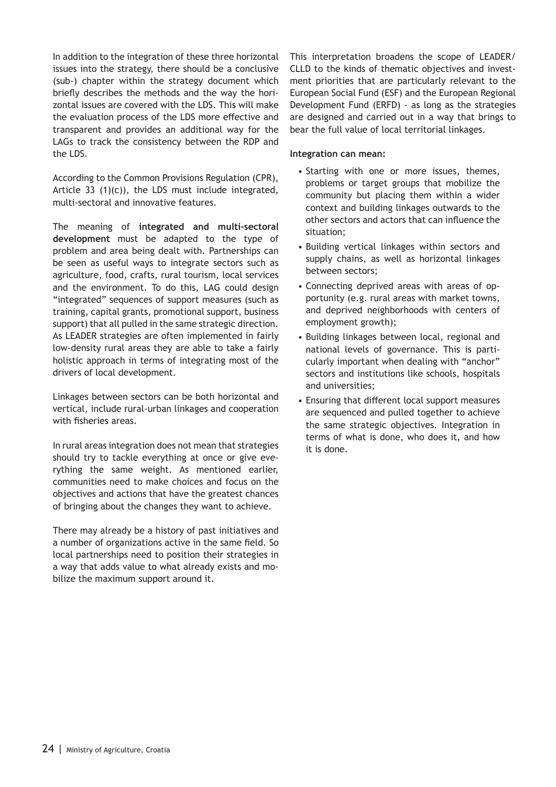In addition to the integration of these three horizontal issues into the strategy, there should be a conclusive (sub-) chapter within the strategy document which briefly describes the methods and the way the horizontal issues are covered with the LDS. This will make the evaluation process of the LDS more effective and transparent and provides an additional way for the LAGs to track the consistency between the RDP and the LDS.

According to the Common Provisions Regulation (CPR), Article 33 (1)(c)), the LDS must include integrated, multi-sectoral and innovative features.

The meaning of **integrated and multi-sectoral development** must be adapted to the type of problem and area being dealt with. Partnerships can be seen as useful ways to integrate sectors such as agriculture, food, crafts, rural tourism, local services and the environment. To do this, LAG could design "integrated" sequences of support measures (such as training, capital grants, promotional support, business support) that all pulled in the same strategic direction. As LEADER strategies are often implemented in fairly low-density rural areas they are able to take a fairly holistic approach in terms of integrating most of the drivers of local development.

Linkages between sectors can be both horizontal and vertical, include rural-urban linkages and cooperation with fisheries areas.

In rural areas integration does not mean that strategies should try to tackle everything at once or give everything the same weight. As mentioned earlier, communities need to make choices and focus on the objectives and actions that have the greatest chances of bringing about the changes they want to achieve.

There may already be a history of past initiatives and a number of organizations active in the same field. So local partnerships need to position their strategies in a way that adds value to what already exists and mobilize the maximum support around it.

This interpretation broadens the scope of LEADER/ CLLD to the kinds of thematic objectives and investment priorities that are particularly relevant to the European Social Fund (ESF) and the European Regional Development Fund (ERFD) - as long as the strategies are designed and carried out in a way that brings to bear the full value of local territorial linkages.

#### **Integration can mean:**

- Starting with one or more issues, themes, problems or target groups that mobilize the community but placing them within a wider context and building linkages outwards to the other sectors and actors that can influence the situation;
- Building vertical linkages within sectors and supply chains, as well as horizontal linkages between sectors;
- Connecting deprived areas with areas of opportunity (e.g. rural areas with market towns, and deprived neighborhoods with centers of employment growth);
- Building linkages between local, regional and national levels of governance. This is particularly important when dealing with "anchor" sectors and institutions like schools, hospitals and universities;
- Ensuring that different local support measures are sequenced and pulled together to achieve the same strategic objectives. Integration in terms of what is done, who does it, and how it is done.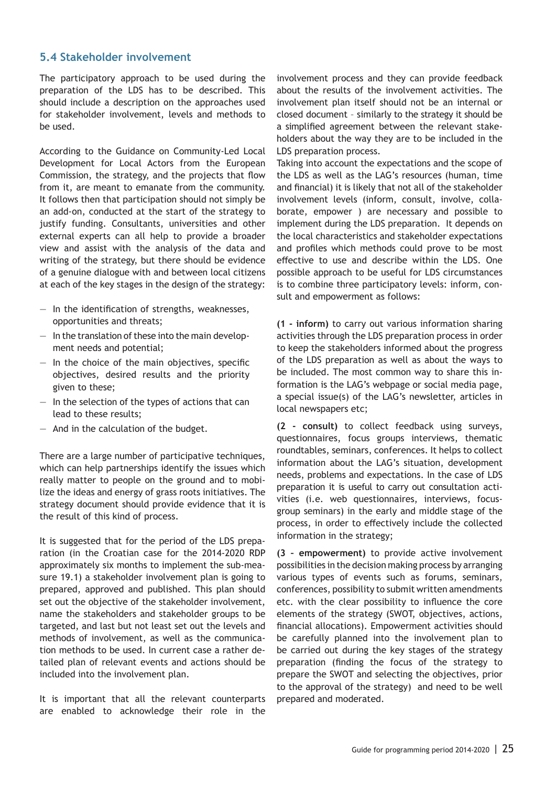### **5.4 Stakeholder involvement**

The participatory approach to be used during the preparation of the LDS has to be described. This should include a description on the approaches used for stakeholder involvement, levels and methods to be used.

According to the Guidance on Community-Led Local Development for Local Actors from the European Commission, the strategy, and the projects that flow from it, are meant to emanate from the community. It follows then that participation should not simply be an add-on, conducted at the start of the strategy to justify funding. Consultants, universities and other external experts can all help to provide a broader view and assist with the analysis of the data and writing of the strategy, but there should be evidence of a genuine dialogue with and between local citizens at each of the key stages in the design of the strategy:

- $-$  In the identification of strengths, weaknesses, opportunities and threats;
- In the translation of these into the main development needs and potential;
- $-$  In the choice of the main objectives, specific objectives, desired results and the priority given to these;
- In the selection of the types of actions that can lead to these results;
- And in the calculation of the budget.

There are a large number of participative techniques, which can help partnerships identify the issues which really matter to people on the ground and to mobilize the ideas and energy of grass roots initiatives. The strategy document should provide evidence that it is the result of this kind of process.

It is suggested that for the period of the LDS preparation (in the Croatian case for the 2014-2020 RDP approximately six months to implement the sub-measure 19.1) a stakeholder involvement plan is going to prepared, approved and published. This plan should set out the objective of the stakeholder involvement, name the stakeholders and stakeholder groups to be targeted, and last but not least set out the levels and methods of involvement, as well as the communication methods to be used. In current case a rather detailed plan of relevant events and actions should be included into the involvement plan.

It is important that all the relevant counterparts are enabled to acknowledge their role in the

involvement process and they can provide feedback about the results of the involvement activities. The involvement plan itself should not be an internal or closed document – similarly to the strategy it should be a simplified agreement between the relevant stakeholders about the way they are to be included in the LDS preparation process.

Taking into account the expectations and the scope of the LDS as well as the LAG's resources (human, time and financial) it is likely that not all of the stakeholder involvement levels (inform, consult, involve, collaborate, empower ) are necessary and possible to implement during the LDS preparation. It depends on the local characteristics and stakeholder expectations and profiles which methods could prove to be most effective to use and describe within the LDS. One possible approach to be useful for LDS circumstances is to combine three participatory levels: inform, consult and empowerment as follows:

**(1 - inform)** to carry out various information sharing activities through the LDS preparation process in order to keep the stakeholders informed about the progress of the LDS preparation as well as about the ways to be included. The most common way to share this information is the LAG's webpage or social media page, a special issue(s) of the LAG's newsletter, articles in local newspapers etc;

**(2 - consult)** to collect feedback using surveys, questionnaires, focus groups interviews, thematic roundtables, seminars, conferences. It helps to collect information about the LAG's situation, development needs, problems and expectations. In the case of LDS preparation it is useful to carry out consultation activities (i.e. web questionnaires, interviews, focusgroup seminars) in the early and middle stage of the process, in order to effectively include the collected information in the strategy;

**(3 – empowerment)** to provide active involvement possibilities in the decision making process by arranging various types of events such as forums, seminars, conferences, possibility to submit written amendments etc. with the clear possibility to influence the core elements of the strategy (SWOT, objectives, actions, financial allocations). Empowerment activities should be carefully planned into the involvement plan to be carried out during the key stages of the strategy preparation (finding the focus of the strategy to prepare the SWOT and selecting the objectives, prior to the approval of the strategy) and need to be well prepared and moderated.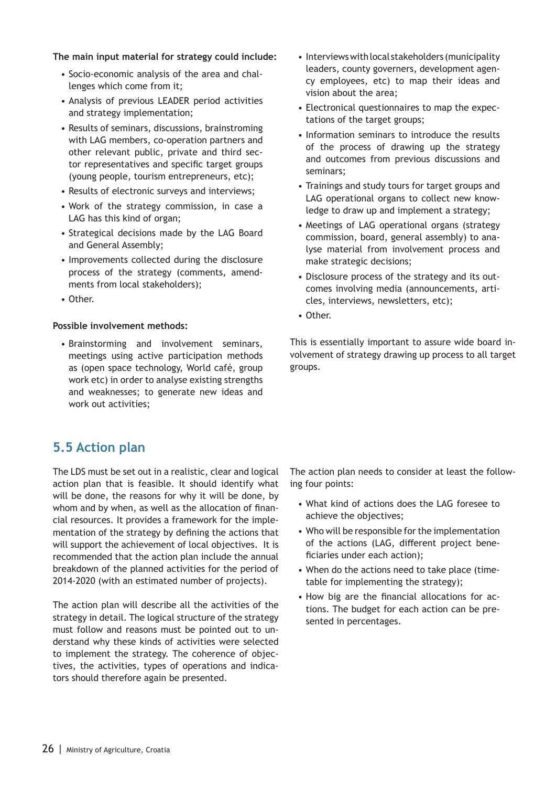#### **The main input material for strategy could include:**

- Socio-economic analysis of the area and challenges which come from it;
- Analysis of previous LEADER period activities and strategy implementation;
- Results of seminars, discussions, brainstroming with LAG members, co-operation partners and other relevant public, private and third sector representatives and specific target groups (young people, tourism entrepreneurs, etc);
- Results of electronic surveys and interviews;
- Work of the strategy commission, in case a LAG has this kind of organ;
- Strategical decisions made by the LAG Board and General Assembly;
- Improvements collected during the disclosure process of the strategy (comments, amendments from local stakeholders);
- Other.

#### **Possible involvement methods:**

• Brainstorming and involvement seminars, meetings using active participation methods as (open space technology, World café, group work etc) in order to analyse existing strengths and weaknesses; to generate new ideas and work out activities;

- Interviews with local stakeholders (municipality leaders, county governers, development agency employees, etc) to map their ideas and vision about the area;
- Electronical questionnaires to map the expectations of the target groups;
- Information seminars to introduce the results of the process of drawing up the strategy and outcomes from previous discussions and seminars;
- Trainings and study tours for target groups and LAG operational organs to collect new knowledge to draw up and implement a strategy;
- Meetings of LAG operational organs (strategy commission, board, general assembly) to analyse material from involvement process and make strategic decisions;
- Disclosure process of the strategy and its outcomes involving media (announcements, articles, interviews, newsletters, etc);
- Other.

This is essentially important to assure wide board involvement of strategy drawing up process to all target groups.

# **5.5 Action plan**

The LDS must be set out in a realistic, clear and logical action plan that is feasible. It should identify what will be done, the reasons for why it will be done, by whom and by when, as well as the allocation of financial resources. It provides a framework for the implementation of the strategy by defining the actions that will support the achievement of local objectives. It is recommended that the action plan include the annual breakdown of the planned activities for the period of 2014-2020 (with an estimated number of projects).

The action plan will describe all the activities of the strategy in detail. The logical structure of the strategy must follow and reasons must be pointed out to understand why these kinds of activities were selected to implement the strategy. The coherence of objectives, the activities, types of operations and indicators should therefore again be presented.

The action plan needs to consider at least the following four points:

- What kind of actions does the LAG foresee to achieve the objectives;
- Who will be responsible for the implementation of the actions (LAG, different project beneficiaries under each action);
- When do the actions need to take place (timetable for implementing the strategy);
- How big are the financial allocations for actions. The budget for each action can be presented in percentages.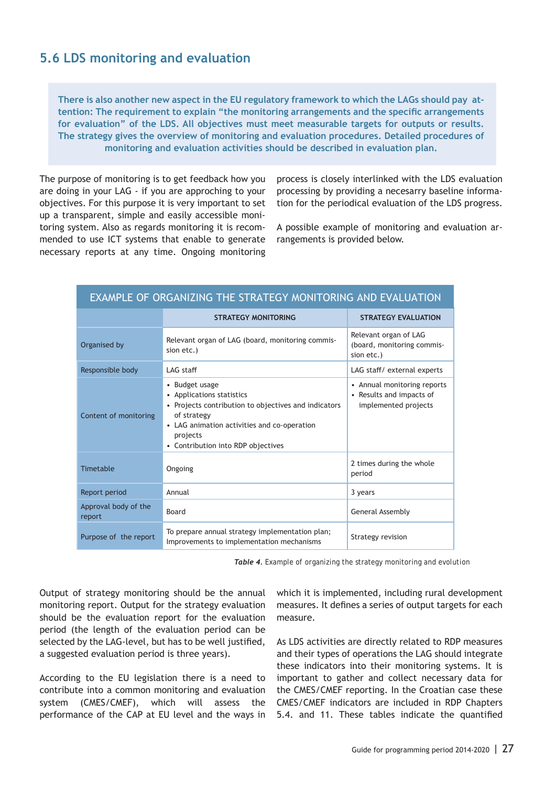# **5.6 LDS monitoring and evaluation**

**There is also another new aspect in the EU regulatory framework to which the LAGs should pay at**tention: The requirement to explain "the monitoring arrangements and the specific arrangements **for evaluation" of the LDS. All objectives must meet measurable targets for outputs or results. The strategy gives the overview of monitoring and evaluation procedures. Detailed procedures of monitoring and evaluation activities should be described in evaluation plan.**

The purpose of monitoring is to get feedback how you are doing in your LAG - if you are approching to your objectives. For this purpose it is very important to set up a transparent, simple and easily accessible monitoring system. Also as regards monitoring it is recommended to use ICT systems that enable to generate necessary reports at any time. Ongoing monitoring

process is closely interlinked with the LDS evaluation processing by providing a necesarry baseline information for the periodical evaluation of the LDS progress.

A possible example of monitoring and evaluation arrangements is provided below.

| EXAMPLE OF ORGANIZING THE STRATEGY MONITORING AND EVALUATION |                                                                                                                                                                                                                     |                                                                                 |  |  |
|--------------------------------------------------------------|---------------------------------------------------------------------------------------------------------------------------------------------------------------------------------------------------------------------|---------------------------------------------------------------------------------|--|--|
|                                                              | <b>STRATEGY MONITORING</b>                                                                                                                                                                                          | <b>STRATEGY EVALUATION</b>                                                      |  |  |
| Organised by                                                 | Relevant organ of LAG (board, monitoring commis-<br>sion etc.)                                                                                                                                                      | Relevant organ of LAG<br>(board, monitoring commis-<br>sion etc.)               |  |  |
| Responsible body                                             | LAG staff                                                                                                                                                                                                           | LAG staff/external experts                                                      |  |  |
| Content of monitoring                                        | • Budget usage<br>• Applications statistics<br>• Projects contribution to objectives and indicators<br>of strategy<br>• LAG animation activities and co-operation<br>projects<br>• Contribution into RDP objectives | • Annual monitoring reports<br>• Results and impacts of<br>implemented projects |  |  |
| Timetable                                                    | Ongoing                                                                                                                                                                                                             | 2 times during the whole<br>period                                              |  |  |
| Report period                                                | Annual                                                                                                                                                                                                              | 3 years                                                                         |  |  |
| Approval body of the<br>report                               | Board                                                                                                                                                                                                               | <b>General Assembly</b>                                                         |  |  |
| Purpose of the report                                        | To prepare annual strategy implementation plan;<br>Improvements to implementation mechanisms                                                                                                                        | Strategy revision                                                               |  |  |

*Table 4. Example of organizing the strategy monitoring and evolution*

Output of strategy monitoring should be the annual monitoring report. Output for the strategy evaluation should be the evaluation report for the evaluation period (the length of the evaluation period can be selected by the LAG-level, but has to be well justified, a suggested evaluation period is three years).

According to the EU legislation there is a need to contribute into a common monitoring and evaluation system (CMES/CMEF), which will assess the performance of the CAP at EU level and the ways in which it is implemented, including rural development measures. It defines a series of output targets for each measure.

As LDS activities are directly related to RDP measures and their types of operations the LAG should integrate these indicators into their monitoring systems. It is important to gather and collect necessary data for the CMES/CMEF reporting. In the Croatian case these CMES/CMEF indicators are included in RDP Chapters 5.4. and 11. These tables indicate the quantified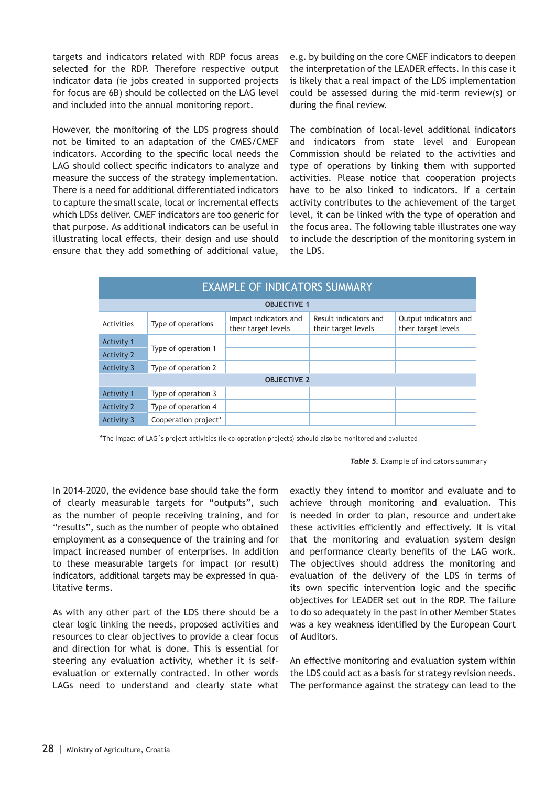targets and indicators related with RDP focus areas selected for the RDP. Therefore respective output indicator data (ie jobs created in supported projects for focus are 6B) should be collected on the LAG level and included into the annual monitoring report.

However, the monitoring of the LDS progress should not be limited to an adaptation of the CMES/CMEF indicators. According to the specific local needs the LAG should collect specific indicators to analyze and measure the success of the strategy implementation. There is a need for additional differentiated indicators to capture the small scale, local or incremental effects which LDSs deliver. CMEF indicators are too generic for that purpose. As additional indicators can be useful in illustrating local effects, their design and use should ensure that they add something of additional value,

e.g. by building on the core CMEF indicators to deepen the interpretation of the LEADER effects. In this case it is likely that a real impact of the LDS implementation could be assessed during the mid-term review(s) or during the final review.

The combination of local-level additional indicators and indicators from state level and European Commission should be related to the activities and type of operations by linking them with supported activities. Please notice that cooperation projects have to be also linked to indicators. If a certain activity contributes to the achievement of the target level, it can be linked with the type of operation and the focus area. The following table illustrates one way to include the description of the monitoring system in the LDS.

| <b>EXAMPLE OF INDICATORS SUMMARY</b> |                      |                                              |                                              |                                              |
|--------------------------------------|----------------------|----------------------------------------------|----------------------------------------------|----------------------------------------------|
| <b>OBJECTIVE 1</b>                   |                      |                                              |                                              |                                              |
| Activities                           | Type of operations   | Impact indicators and<br>their target levels | Result indicators and<br>their target levels | Output indicators and<br>their target levels |
| <b>Activity 1</b>                    |                      |                                              |                                              |                                              |
| <b>Activity 2</b>                    | Type of operation 1  |                                              |                                              |                                              |
| <b>Activity 3</b>                    | Type of operation 2  |                                              |                                              |                                              |
| <b>OBJECTIVE 2</b>                   |                      |                                              |                                              |                                              |
| <b>Activity 1</b>                    | Type of operation 3  |                                              |                                              |                                              |
| <b>Activity 2</b>                    | Type of operation 4  |                                              |                                              |                                              |
| <b>Activity 3</b>                    | Cooperation project* |                                              |                                              |                                              |

\**The impact of LAG´s project activities (ie co-operation projects) schould also be monitored and evaluated*

*Table 5. Example of indicators summary*

In 2014-2020, the evidence base should take the form of clearly measurable targets for "outputs", such as the number of people receiving training, and for "results", such as the number of people who obtained employment as a consequence of the training and for impact increased number of enterprises. In addition to these measurable targets for impact (or result) indicators, additional targets may be expressed in qualitative terms.

As with any other part of the LDS there should be a clear logic linking the needs, proposed activities and resources to clear objectives to provide a clear focus and direction for what is done. This is essential for steering any evaluation activity, whether it is selfevaluation or externally contracted. In other words LAGs need to understand and clearly state what exactly they intend to monitor and evaluate and to achieve through monitoring and evaluation. This is needed in order to plan, resource and undertake these activities efficiently and effectively. It is vital that the monitoring and evaluation system design and performance clearly benefits of the LAG work. The objectives should address the monitoring and evaluation of the delivery of the LDS in terms of its own specific intervention logic and the specific objectives for LEADER set out in the RDP. The failure to do so adequately in the past in other Member States was a key weakness identified by the European Court of Auditors.

An effective monitoring and evaluation system within the LDS could act as a basis for strategy revision needs. The performance against the strategy can lead to the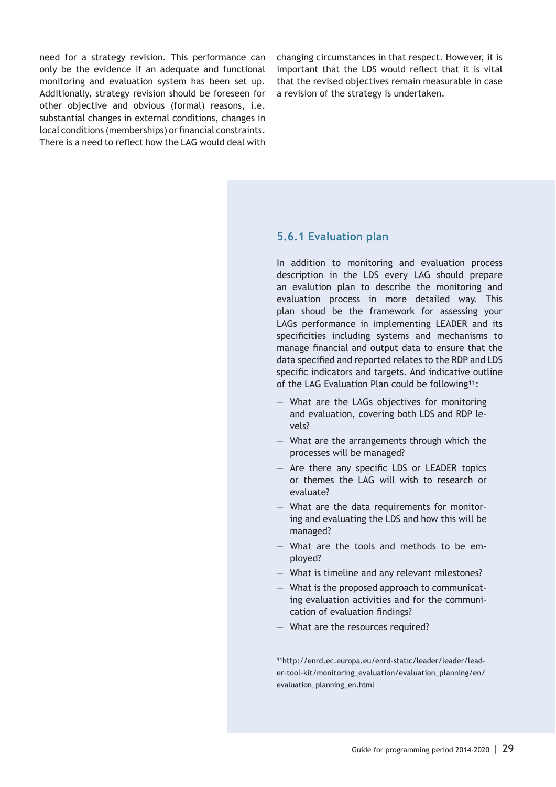need for a strategy revision. This performance can only be the evidence if an adequate and functional monitoring and evaluation system has been set up. Additionally, strategy revision should be foreseen for other objective and obvious (formal) reasons, i.e. substantial changes in external conditions, changes in local conditions (memberships) or financial constraints. There is a need to reflect how the LAG would deal with

changing circumstances in that respect. However, it is important that the LDS would reflect that it is vital that the revised objectives remain measurable in case a revision of the strategy is undertaken.

#### **5.6.1 Evaluation plan**

In addition to monitoring and evaluation process description in the LDS every LAG should prepare an evalution plan to describe the monitoring and evaluation process in more detailed way. This plan shoud be the framework for assessing your LAGs performance in implementing LEADER and its specificities including systems and mechanisms to manage financial and output data to ensure that the data specified and reported relates to the RDP and LDS specific indicators and targets. And indicative outline of the LAG Evaluation Plan could be following<sup>11</sup>:

- What are the LAGs objectives for monitoring and evaluation, covering both LDS and RDP levels?
- What are the arrangements through which the processes will be managed?
- $-$  Are there any specific LDS or LEADER topics or themes the LAG will wish to research or evaluate?
- What are the data requirements for monitoring and evaluating the LDS and how this will be managed?
- What are the tools and methods to be employed?
- What is timeline and any relevant milestones?
- What is the proposed approach to communicating evaluation activities and for the communication of evaluation findings?
- What are the resources required?

11http://enrd.ec.europa.eu/enrd-static/leader/leader/leader-tool-kit/monitoring\_evaluation/evaluation\_planning/en/ evaluation\_planning\_en.html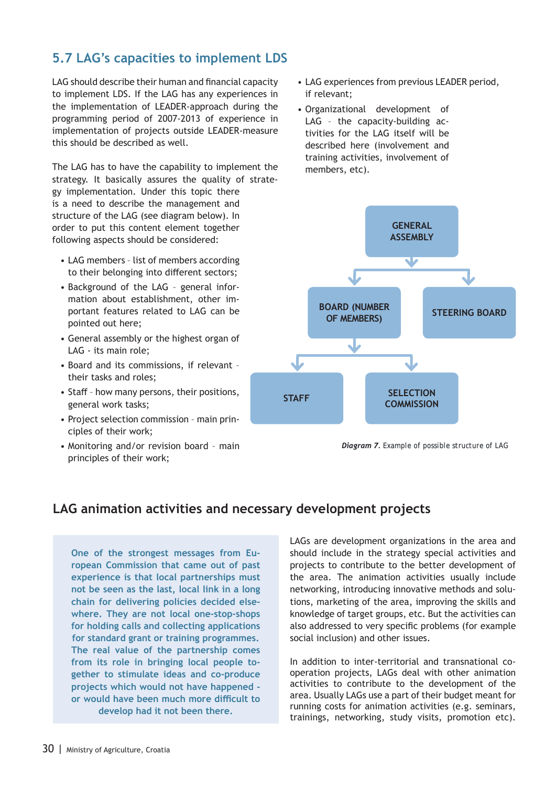# **5.7 LAG's capacities to implement LDS**

LAG should describe their human and financial capacity to implement LDS. If the LAG has any experiences in the implementation of LEADER-approach during the programming period of 2007-2013 of experience in implementation of projects outside LEADER-measure this should be described as well.

The LAG has to have the capability to implement the strategy. It basically assures the quality of strategy implementation. Under this topic there is a need to describe the management and structure of the LAG (see diagram below). In order to put this content element together following aspects should be considered:

- LAG members list of members according to their belonging into different sectors;
- Background of the LAG general information about establishment, other important features related to LAG can be pointed out here;
- General assembly or the highest organ of LAG - its main role;
- Board and its commissions, if relevant their tasks and roles;
- Staff how many persons, their positions, general work tasks;
- Project selection commission main principles of their work;
- Monitoring and/or revision board main principles of their work;
- LAG experiences from previous LEADER period, if relevant;
- Organizational development of LAG – the capacity-building activities for the LAG itself will be described here (involvement and training activities, involvement of members, etc).



*Diagram 7. Example of possible structure of LAG* 

# **LAG animation activities and necessary development projects**

**One of the strongest messages from European Commission that came out of past experience is that local partnerships must not be seen as the last, local link in a long chain for delivering policies decided elsewhere. They are not local one-stop-shops for holding calls and collecting applications for standard grant or training programmes. The real value of the partnership comes from its role in bringing local people together to stimulate ideas and co-produce projects which would not have happened or would have been much more diffi cult to develop had it not been there.**

LAGs are development organizations in the area and should include in the strategy special activities and projects to contribute to the better development of the area. The animation activities usually include networking, introducing innovative methods and solutions, marketing of the area, improving the skills and knowledge of target groups, etc. But the activities can also addressed to very specific problems (for example social inclusion) and other issues.

In addition to inter-territorial and transnational cooperation projects, LAGs deal with other animation activities to contribute to the development of the area. Usually LAGs use a part of their budget meant for running costs for animation activities (e.g. seminars, trainings, networking, study visits, promotion etc).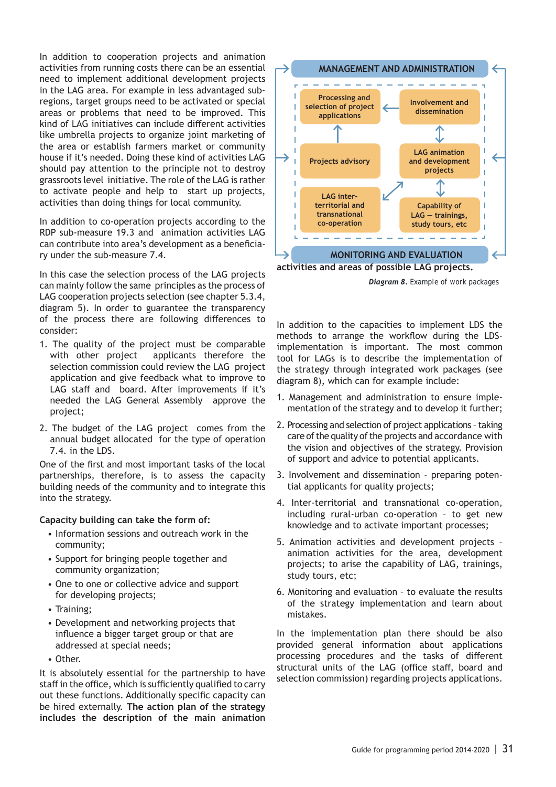In addition to cooperation projects and animation activities from running costs there can be an essential need to implement additional development projects in the LAG area. For example in less advantaged subregions, target groups need to be activated or special areas or problems that need to be improved. This kind of LAG initiatives can include different activities like umbrella projects to organize joint marketing of the area or establish farmers market or community house if it's needed. Doing these kind of activities LAG should pay attention to the principle not to destroy grassroots level initiative. The role of the LAG is rather to activate people and help to start up projects, activities than doing things for local community.

In addition to co-operation projects according to the RDP sub-measure 19.3 and animation activities LAG can contribute into area's development as a beneficiary under the sub-measure 7.4.

In this case the selection process of the LAG projects can mainly follow the same principles as the process of LAG cooperation projects selection (see chapter 5.3.4, diagram 5). In order to guarantee the transparency of the process there are following differences to consider:

- 1. The quality of the project must be comparable with other project applicants therefore the selection commission could review the LAG project application and give feedback what to improve to LAG staff and board. After improvements if it's needed the LAG General Assembly approve the project;
- 2. The budget of the LAG project comes from the annual budget allocated for the type of operation 7.4. in the LDS.

One of the first and most important tasks of the local partnerships, therefore, is to assess the capacity building needs of the community and to integrate this into the strategy.

#### **Capacity building can take the form of:**

- Information sessions and outreach work in the community;
- Support for bringing people together and community organization;
- One to one or collective advice and support for developing projects;
- Training;
- Development and networking projects that influence a bigger target group or that are addressed at special needs;
- Other.

It is absolutely essential for the partnership to have staff in the office, which is sufficiently qualified to carry out these functions. Additionally specific capacity can be hired externally. **The action plan of the strategy includes the description of the main animation** 



*Diagram 8. Example of work packages* 

In addition to the capacities to implement LDS the methods to arrange the workflow during the LDSimplementation is important. The most common tool for LAGs is to describe the implementation of the strategy through integrated work packages (see diagram 8), which can for example include:

- 1. Management and administration to ensure implementation of the strategy and to develop it further;
- 2. Processing and selection of project applications taking care of the quality of the projects and accordance with the vision and objectives of the strategy. Provision of support and advice to potential applicants.
- 3. Involvement and dissemination preparing potential applicants for quality projects;
- 4. Inter-territorial and transnational co-operation, including rural-urban co-operation – to get new knowledge and to activate important processes;
- 5. Animation activities and development projects animation activities for the area, development projects; to arise the capability of LAG, trainings, study tours, etc;
- 6. Monitoring and evaluation to evaluate the results of the strategy implementation and learn about mistakes.

In the implementation plan there should be also provided general information about applications processing procedures and the tasks of different structural units of the LAG (office staff, board and selection commission) regarding projects applications.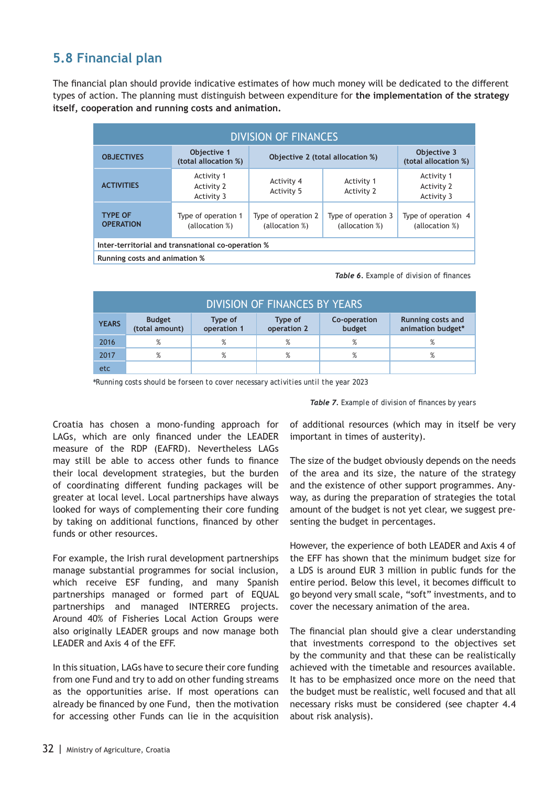# **5.8 Financial plan**

The financial plan should provide indicative estimates of how much money will be dedicated to the different types of action. The planning must distinguish between expenditure for **the implementation of the strategy itself, cooperation and running costs and animation.** 

| <b>DIVISION OF FINANCES</b>                        |                                        |                                       |                                       |                                                      |  |
|----------------------------------------------------|----------------------------------------|---------------------------------------|---------------------------------------|------------------------------------------------------|--|
| <b>OBJECTIVES</b>                                  | Objective 1<br>(total allocation %)    | Objective 2 (total allocation %)      |                                       | Objective 3<br>(total allocation %)                  |  |
| <b>ACTIVITIES</b>                                  | Activity 1<br>Activity 2<br>Activity 3 | Activity 4<br>Activity 5              | Activity 1<br><b>Activity 2</b>       | <b>Activity 1</b><br><b>Activity 2</b><br>Activity 3 |  |
| <b>TYPE OF</b><br><b>OPERATION</b>                 | Type of operation 1<br>(allocation %)  | Type of operation 2<br>(allocation %) | Type of operation 3<br>(allocation %) | Type of operation 4<br>(allocation %)                |  |
| Inter-territorial and transnational co-operation % |                                        |                                       |                                       |                                                      |  |
| Running costs and animation %                      |                                        |                                       |                                       |                                                      |  |

#### *Table 6. able Example of division of Example of division of fi nances*

| <b>DIVISION OF FINANCES BY YEARS</b> |                                 |                        |                        |                        |                                               |
|--------------------------------------|---------------------------------|------------------------|------------------------|------------------------|-----------------------------------------------|
| <b>YEARS</b>                         | <b>Budget</b><br>(total amount) | Type of<br>operation 1 | Type of<br>operation 2 | Co-operation<br>budget | <b>Running costs and</b><br>animation budget* |
| 2016                                 | %                               | %                      | %                      | %                      | %                                             |
| 2017                                 | %                               | %                      | %                      | %                      | %                                             |
| etc                                  |                                 |                        |                        |                        |                                               |

\*Running costs should be forseen to cover necessary activities until the year 2023

#### *Table 7. able Example of division of Example of division of fi nances by years nances by*

Croatia has chosen a mono-funding approach for LAGs, which are only financed under the LEADER measure of the RDP (EAFRD). Nevertheless LAGs may still be able to access other funds to finance their local development strategies, but the burden of coordinating different funding packages will be greater at local level. Local partnerships have always looked for ways of complementing their core funding by taking on additional functions, financed by other funds or other resources.

For example, the Irish rural development partnerships manage substantial programmes for social inclusion, which receive ESF funding, and many Spanish partnerships managed or formed part of EQUAL partnerships and managed INTERREG projects. Around 40% of Fisheries Local Action Groups were also originally LEADER groups and now manage both LEADER and Axis 4 of the EFF.

In this situation, LAGs have to secure their core funding from one Fund and try to add on other funding streams as the opportunities arise. If most operations can already be financed by one Fund, then the motivation for accessing other Funds can lie in the acquisition of additional resources (which may in itself be very important in times of austerity).

The size of the budget obviously depends on the needs of the area and its size, the nature of the strategy and the existence of other support programmes. Anyway, as during the preparation of strategies the total amount of the budget is not yet clear, we suggest presenting the budget in percentages.

However, the experience of both LEADER and Axis 4 of the EFF has shown that the minimum budget size for a LDS is around EUR 3 million in public funds for the entire period. Below this level, it becomes difficult to go beyond very small scale, "soft" investments, and to cover the necessary animation of the area.

The financial plan should give a clear understanding that investments correspond to the objectives set by the community and that these can be realistically achieved with the timetable and resources available. It has to be emphasized once more on the need that the budget must be realistic, well focused and that all necessary risks must be considered (see chapter 4.4 about risk analysis).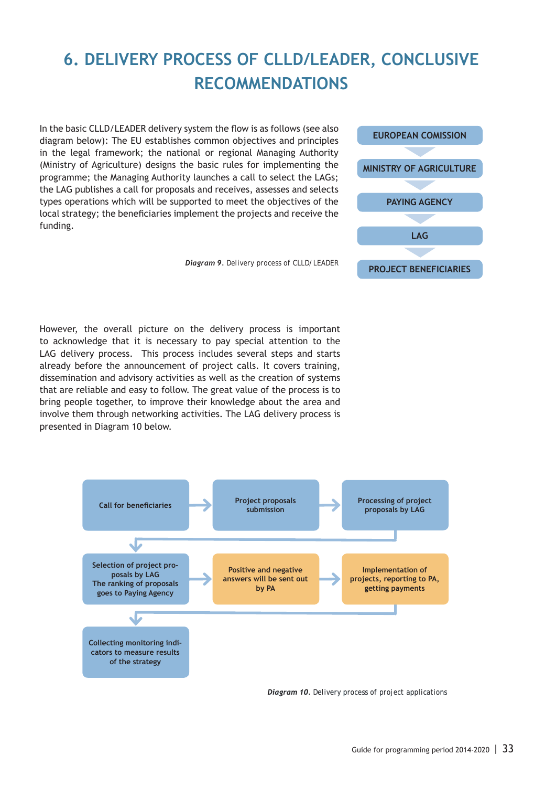# **6. DELIVERY PROCESS OF CLLD/LEADER, CONCLUSIVE RECOMMENDATIONS**

In the basic CLLD/LEADER delivery system the flow is as follows (see also diagram below): The EU establishes common objectives and principles in the legal framework; the national or regional Managing Authority (Ministry of Agriculture) designs the basic rules for implementing the programme; the Managing Authority launches a call to select the LAGs; the LAG publishes a call for proposals and receives, assesses and selects types operations which will be supported to meet the objectives of the local strategy; the beneficiaries implement the projects and receive the funding.

*Diagram 9. Delivery process of CLLD/LEADER*



However, the overall picture on the delivery process is important to acknowledge that it is necessary to pay special attention to the LAG delivery process. This process includes several steps and starts already before the announcement of project calls. It covers training, dissemination and advisory activities as well as the creation of systems that are reliable and easy to follow. The great value of the process is to bring people together, to improve their knowledge about the area and involve them through networking activities. The LAG delivery process is presented in Diagram 10 below.



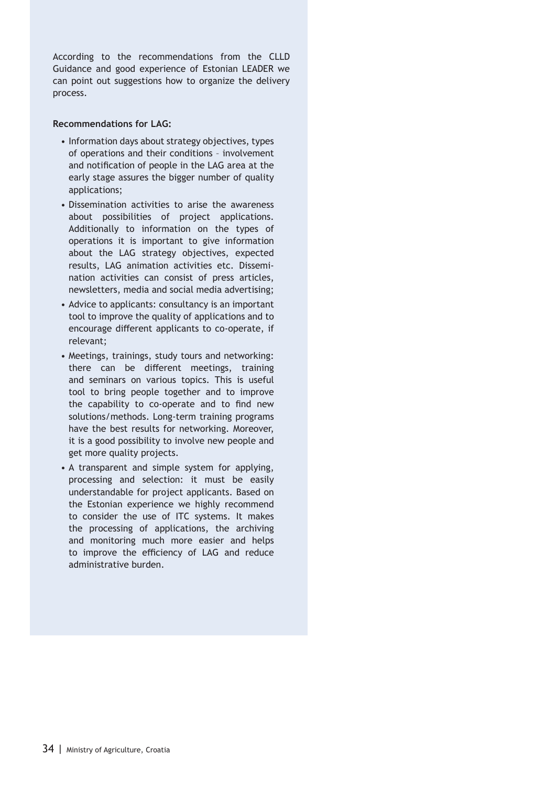According to the recommendations from the CLLD Guidance and good experience of Estonian LEADER we can point out suggestions how to organize the delivery process.

#### **Recommendations for LAG:**

- Information days about strategy objectives, types of operations and their conditions – involvement and notification of people in the LAG area at the early stage assures the bigger number of quality applications;
- Dissemination activities to arise the awareness about possibilities of project applications. Additionally to information on the types of operations it is important to give information about the LAG strategy objectives, expected results, LAG animation activities etc. Dissemination activities can consist of press articles, newsletters, media and social media advertising;
- Advice to applicants: consultancy is an important tool to improve the quality of applications and to encourage different applicants to co-operate, if relevant;
- Meetings, trainings, study tours and networking: there can be different meetings, training and seminars on various topics. This is useful tool to bring people together and to improve the capability to co-operate and to find new solutions/methods. Long-term training programs have the best results for networking. Moreover, it is a good possibility to involve new people and get more quality projects.
- A transparent and simple system for applying, processing and selection: it must be easily understandable for project applicants. Based on the Estonian experience we highly recommend to consider the use of ITC systems. It makes the processing of applications, the archiving and monitoring much more easier and helps to improve the efficiency of LAG and reduce administrative burden.